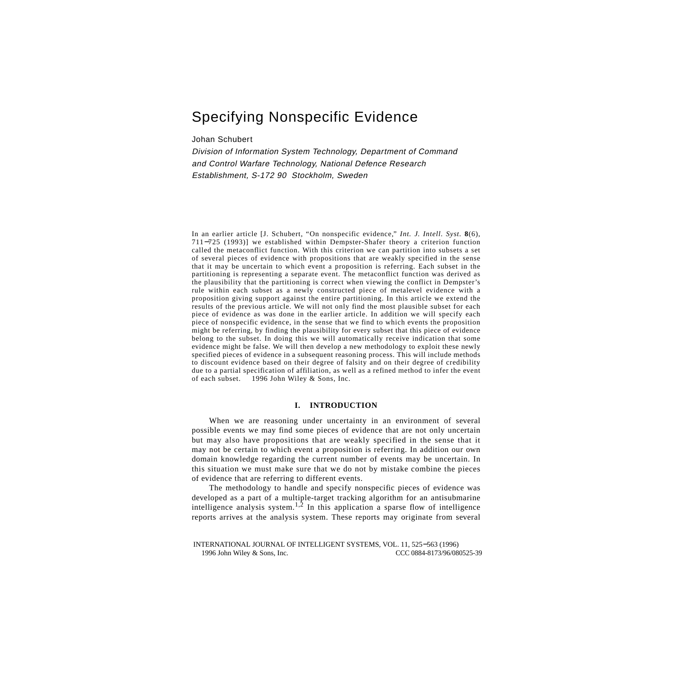# Specifying Nonspecific Evidence

Johan Schubert

Division of Information System Technology, Department of Command and Control Warfare Technology, National Defence Research Establishment, S-172 90 Stockholm, Sweden

In an earlier article [J. Schubert, "On nonspecific evidence," *Int. J. Intell. Syst.* **8**(6), 711−725 (1993)] we established within Dempster-Shafer theory a criterion function called the metaconflict function. With this criterion we can partition into subsets a set of several pieces of evidence with propositions that are weakly specified in the sense that it may be uncertain to which event a proposition is referring. Each subset in the partitioning is representing a separate event. The metaconflict function was derived as the plausibility that the partitioning is correct when viewing the conflict in Dempster's rule within each subset as a newly constructed piece of metalevel evidence with a proposition giving support against the entire partitioning. In this article we extend the results of the previous article. We will not only find the most plausible subset for each piece of evidence as was done in the earlier article. In addition we will specify each piece of nonspecific evidence, in the sense that we find to which events the proposition might be referring, by finding the plausibility for every subset that this piece of evidence belong to the subset. In doing this we will automatically receive indication that some evidence might be false. We will then develop a new methodology to exploit these newly specified pieces of evidence in a subsequent reasoning process. This will include methods to discount evidence based on their degree of falsity and on their degree of credibility due to a partial specification of affiliation, as well as a refined method to infer the event of each subset.  $\odot$  1996 John Wiley & Sons, Inc.

### **I. INTRODUCTION**

When we are reasoning under uncertainty in an environment of several possible events we may find some pieces of evidence that are not only uncertain but may also have propositions that are weakly specified in the sense that it may not be certain to which event a proposition is referring. In addition our own domain knowledge regarding the current number of events may be uncertain. In this situation we must make sure that we do not by mistake combine the pieces of evidence that are referring to different events.

The methodology to handle and specify nonspecific pieces of evidence was developed as a part of a multiple-target tracking algorithm for an antisubmarine intelligence analysis system.<sup>1,2</sup> In this application a sparse flow of intelligence reports arrives at the analysis system. These reports may originate from several

INTERNATIONAL JOURNAL OF INTELLIGENT SYSTEMS, VOL. 11, 525−563 (1996) 1996 John Wiley & Sons, Inc. CCC 0884-8173/96/080525-39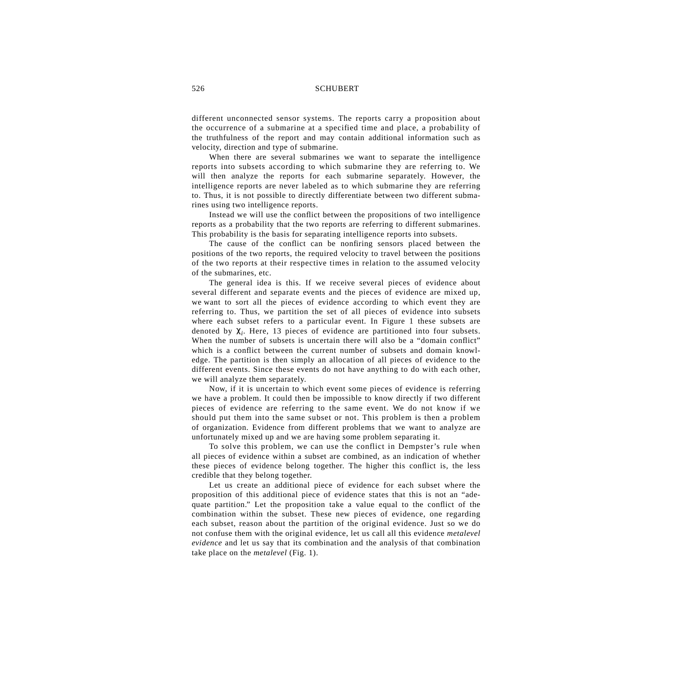different unconnected sensor systems. The reports carry a proposition about the occurrence of a submarine at a specified time and place, a probability of the truthfulness of the report and may contain additional information such as velocity, direction and type of submarine.

When there are several submarines we want to separate the intelligence reports into subsets according to which submarine they are referring to. We will then analyze the reports for each submarine separately. However, the intelligence reports are never labeled as to which submarine they are referring to. Thus, it is not possible to directly differentiate between two different submarines using two intelligence reports.

Instead we will use the conflict between the propositions of two intelligence reports as a probability that the two reports are referring to different submarines. This probability is the basis for separating intelligence reports into subsets.

The cause of the conflict can be nonfiring sensors placed between the positions of the two reports, the required velocity to travel between the positions of the two reports at their respective times in relation to the assumed velocity of the submarines, etc.

The general idea is this. If we receive several pieces of evidence about several different and separate events and the pieces of evidence are mixed up, we want to sort all the pieces of evidence according to which event they are referring to. Thus, we partition the set of all pieces of evidence into subsets where each subset refers to a particular event. In Figure 1 these subsets are denoted by χ*i*. Here, 13 pieces of evidence are partitioned into four subsets. When the number of subsets is uncertain there will also be a "domain conflict" which is a conflict between the current number of subsets and domain knowledge. The partition is then simply an allocation of all pieces of evidence to the different events. Since these events do not have anything to do with each other, we will analyze them separately.

Now, if it is uncertain to which event some pieces of evidence is referring we have a problem. It could then be impossible to know directly if two different pieces of evidence are referring to the same event. We do not know if we should put them into the same subset or not. This problem is then a problem of organization. Evidence from different problems that we want to analyze are unfortunately mixed up and we are having some problem separating it.

To solve this problem, we can use the conflict in Dempster's rule when all pieces of evidence within a subset are combined, as an indication of whether these pieces of evidence belong together. The higher this conflict is, the less credible that they belong together.

Let us create an additional piece of evidence for each subset where the proposition of this additional piece of evidence states that this is not an "adequate partition." Let the proposition take a value equal to the conflict of the combination within the subset. These new pieces of evidence, one regarding each subset, reason about the partition of the original evidence. Just so we do not confuse them with the original evidence, let us call all this evidence *metalevel evidence* and let us say that its combination and the analysis of that combination take place on the *metalevel* (Fig. 1).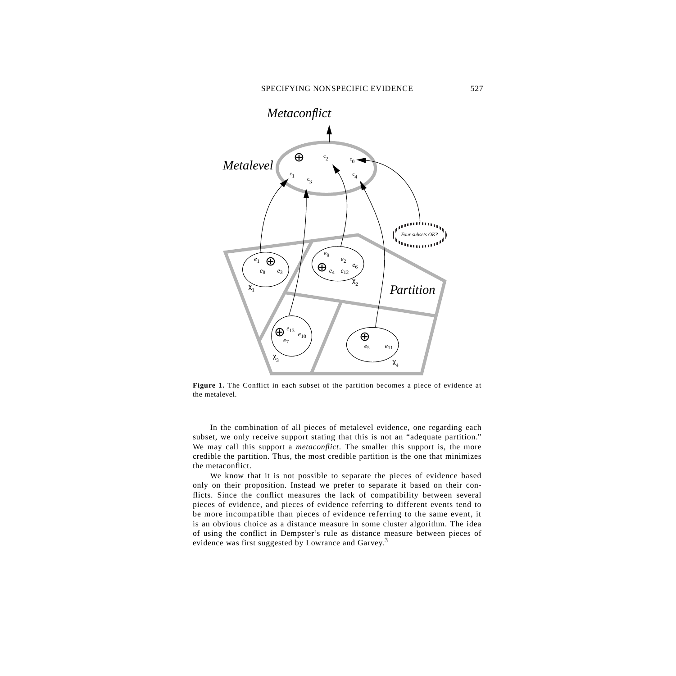

**Figure 1.** The Conflict in each subset of the partition becomes a piece of evidence at the metalevel.

In the combination of all pieces of metalevel evidence, one regarding each subset, we only receive support stating that this is not an "adequate partition." We may call this support a *metaconflict*. The smaller this support is, the more credible the partition. Thus, the most credible partition is the one that minimizes the metaconflict.

We know that it is not possible to separate the pieces of evidence based only on their proposition. Instead we prefer to separate it based on their conflicts. Since the conflict measures the lack of compatibility between several pieces of evidence, and pieces of evidence referring to different events tend to be more incompatible than pieces of evidence referring to the same event, it is an obvious choice as a distance measure in some cluster algorithm. The idea of using the conflict in Dempster's rule as distance measure between pieces of evidence was first suggested by Lowrance and Garvey.<sup>3</sup>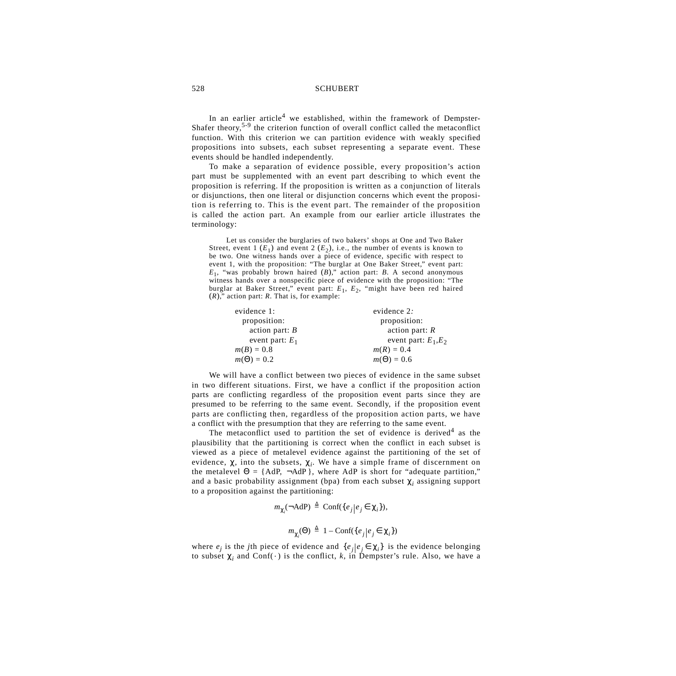In an earlier article<sup>4</sup> we established, within the framework of Dempster-Shafer theory,<sup>5-9</sup> the criterion function of overall conflict called the metaconflict function. With this criterion we can partition evidence with weakly specified propositions into subsets, each subset representing a separate event. These events should be handled independently.

To make a separation of evidence possible, every proposition's action part must be supplemented with an event part describing to which event the proposition is referring. If the proposition is written as a conjunction of literals or disjunctions, then one literal or disjunction concerns which event the proposition is referring to. This is the event part. The remainder of the proposition is called the action part. An example from our earlier article illustrates the terminology:

Let us consider the burglaries of two bakers' shops at One and Two Baker Street, event  $1(E_1)$  and event  $2(E_2)$ , i.e., the number of events is known to be two. One witness hands over a piece of evidence, specific with respect to event 1, with the proposition: "The burglar at One Baker Street," event part:  $E_1$ , "was probably brown haired  $(B)$ ," action part: *B*. A second anonymous witness hands over a nonspecific piece of evidence with the proposition: "The burglar at Baker Street," event part: *E*1, *E*2, "might have been red haired (*R*)," action part: *R*. That is, for example:

| evidence 1:       | evidence $2$ :         |
|-------------------|------------------------|
| proposition:      | proposition:           |
| action part: $B$  | action part: $R$       |
| event part: $E_1$ | event part: $E_1, E_2$ |
| $m(B) = 0.8$      | $m(R) = 0.4$           |
| $m(\Theta) = 0.2$ | $m(\Theta) = 0.6$      |

We will have a conflict between two pieces of evidence in the same subset in two different situations. First, we have a conflict if the proposition action parts are conflicting regardless of the proposition event parts since they are presumed to be referring to the same event. Secondly, if the proposition event parts are conflicting then, regardless of the proposition action parts, we have a conflict with the presumption that they are referring to the same event.

The metaconflict used to partition the set of evidence is derived<sup>4</sup> as the plausibility that the partitioning is correct when the conflict in each subset is viewed as a piece of metalevel evidence against the partitioning of the set of evidence,  $\chi$ , into the subsets,  $\chi_i$ . We have a simple frame of discernment on the metalevel  $\Theta = \{AdP, -AdP\}$ , where  $AdP$  is short for "adequate partition," and a basic probability assignment (bpa) from each subset χ*<sup>i</sup>* assigning support to a proposition against the partitioning:

$$
m_{\chi_i}(\neg \text{AdP}) \triangleq \text{Conf}(\{e_j | e_j \in \chi_i\}),
$$

$$
m_{\chi_i}(\Theta) \triangleq 1 - \text{Conf}(\{e_j | e_j \in \chi_i\})
$$

where  $e_j$  is the *j*th piece of evidence and  $\{e_j | e_j \in \chi_i\}$  is the evidence belonging to subset  $\gamma_i$  and Conf( $\cdot$ ) is the conflict. k, in Dempster's rule. Also, we have a to subset  $\chi_i$  and Conf( $\cdot$ ) is the conflict, *k*, in Dempster's rule. Also, we have a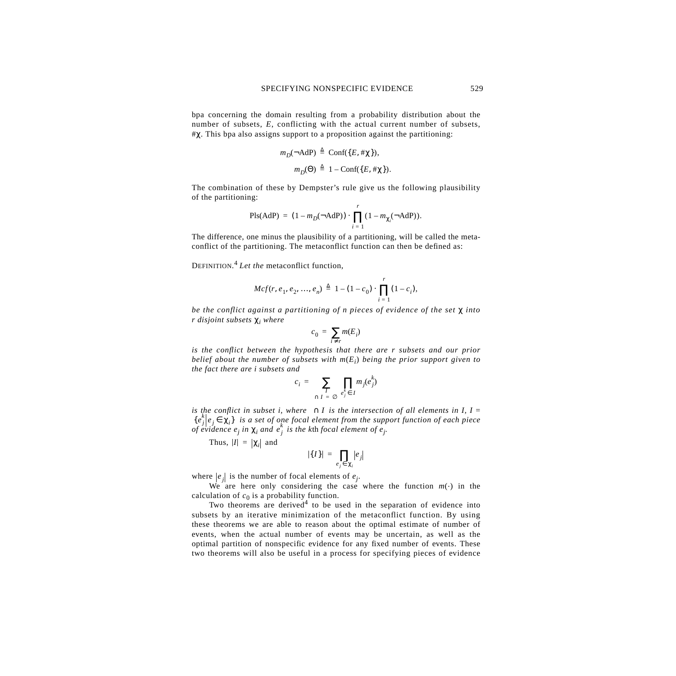bpa concerning the domain resulting from a probability distribution about the number of subsets, *E*, conflicting with the actual current number of subsets, #χ. This bpa also assigns support to a proposition against the partitioning:

$$
m_D(\neg \text{AdP}) \triangleq \text{Conf}(\{E, \#\chi\}),
$$
  

$$
m_D(\Theta) \triangleq 1 - \text{Conf}(\{E, \#\chi\}).
$$

The combination of these by Dempster's rule give us the following plausibility of the partitioning:

$$
\text{Pls}(\text{AdP}) = (1 - m_D(\neg \text{AdP})) \cdot \prod_{i=1}^{r} (1 - m_{\chi_i}(\neg \text{AdP})).
$$

The difference, one minus the plausibility of a partitioning, will be called the metaconflict of the partitioning. The metaconflict function can then be defined as:

DEFINITION. <sup>4</sup> *Let the* metaconflict function,

$$
Mcf(r, e_1, e_2, ..., e_n) \triangleq 1 - (1 - c_0) \cdot \prod_{i=1}^r (1 - c_i),
$$

*be the conflict against a partitioning of n pieces of evidence of the set* χ *into r disjoint subsets* χ*i where*

$$
c_0 = \sum_{i \neq r} m(E_i)
$$

*is the conflict between the hypothesis that there are r subsets and our prior belief about the number of subsets with m*(*Ei*) *being the prior support given to the fact there are i subsets and*

$$
c_i = \sum_{\substack{I \\ \cap I = \emptyset}} \prod_{\substack{k \\ e_j \in I}} m_j(e_j^k)
$$

*is the conflict in subset i, where*  $\cap I$  *is the intersection of all elements in I, I* = *is a set of one focal element from the support function of each piece of evidence*  $e_j$  *in*  $\chi_i$  *and*  $e_j^{\kappa}$  *is the kth focal element of*  $e_j$ *.*  ${e_j^k}$   $e_j \in \chi_i$  $e_j^k$ 

Thus,  $|I| = |\chi_i|$  and

$$
|\{I\}| = \prod_{e_j \in \chi_i} |e_j|
$$

where  $|e_j|$  is the number of focal elements of  $e_j$ .

We are here only considering the case where the function  $m(\cdot)$  in the calculation of  $c_0$  is a probability function.

Two theorems are derived<sup>4</sup> to be used in the separation of evidence into subsets by an iterative minimization of the metaconflict function. By using these theorems we are able to reason about the optimal estimate of number of events, when the actual number of events may be uncertain, as well as the optimal partition of nonspecific evidence for any fixed number of events. These two theorems will also be useful in a process for specifying pieces of evidence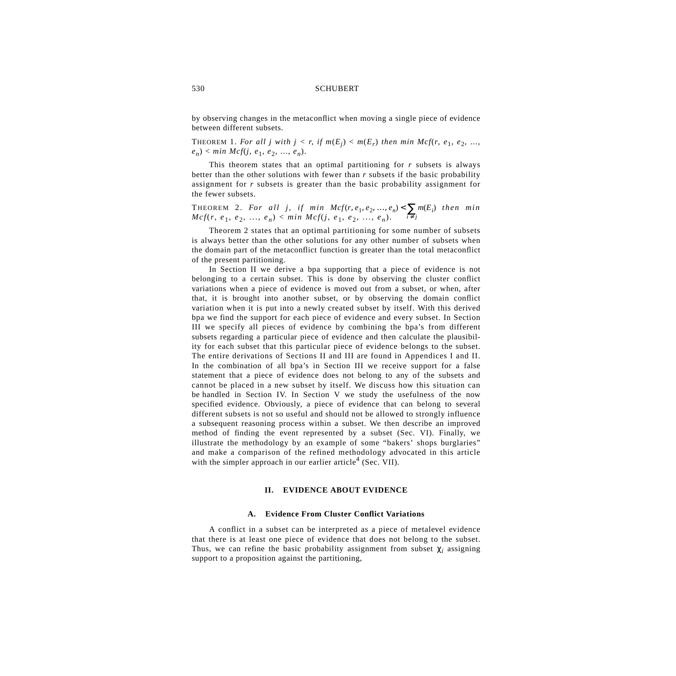by observing changes in the metaconflict when moving a single piece of evidence between different subsets.

THEOREM 1. For all j with  $j < r$ , if  $m(E_i) < m(E_r)$  then min Mcf(r,  $e_1, e_2, ...,$  $e_n$ ) < *min Mcf*(*j*,  $e_1$ ,  $e_2$ , ...,  $e_n$ ).

This theorem states that an optimal partitioning for  $r$  subsets is always better than the other solutions with fewer than *r* subsets if the basic probability assignment for *r* subsets is greater than the basic probability assignment for the fewer subsets.

THEOREM 2. For all j, if min  $Mcf(r, e_1, e_2, ..., e_n) < \sum m(E_i)$  then min  $Mcf(r, e_1, e_2, ..., e_n) < min Mcf(j, e_1, e_2, ..., e_n).$  $Mcf(r, e_1, e_2, ..., e_n) < \sum_{i \neq j} m(E_i)$ <br> $e_1, e_2, ..., e_n$ ,

Theorem 2 states that an optimal partitioning for some number of subsets is always better than the other solutions for any other number of subsets when the domain part of the metaconflict function is greater than the total metaconflict of the present partitioning.

In Section II we derive a bpa supporting that a piece of evidence is not belonging to a certain subset. This is done by observing the cluster conflict variations when a piece of evidence is moved out from a subset, or when, after that, it is brought into another subset, or by observing the domain conflict variation when it is put into a newly created subset by itself. With this derived bpa we find the support for each piece of evidence and every subset. In Section III we specify all pieces of evidence by combining the bpa's from different subsets regarding a particular piece of evidence and then calculate the plausibility for each subset that this particular piece of evidence belongs to the subset. The entire derivations of Sections II and III are found in Appendices I and II. In the combination of all bpa's in Section III we receive support for a false statement that a piece of evidence does not belong to any of the subsets and cannot be placed in a new subset by itself. We discuss how this situation can be handled in Section IV. In Section V we study the usefulness of the now specified evidence. Obviously, a piece of evidence that can belong to several different subsets is not so useful and should not be allowed to strongly influence a subsequent reasoning process within a subset. We then describe an improved method of finding the event represented by a subset (Sec. VI). Finally, we illustrate the methodology by an example of some "bakers' shops burglaries" and make a comparison of the refined methodology advocated in this article with the simpler approach in our earlier article<sup>4</sup> (Sec. VII).

# **II. EVIDENCE ABOUT EVIDENCE**

# **A. Evidence From Cluster Conflict Variations**

A conflict in a subset can be interpreted as a piece of metalevel evidence that there is at least one piece of evidence that does not belong to the subset. Thus, we can refine the basic probability assignment from subset  $\chi_i$  assigning support to a proposition against the partitioning,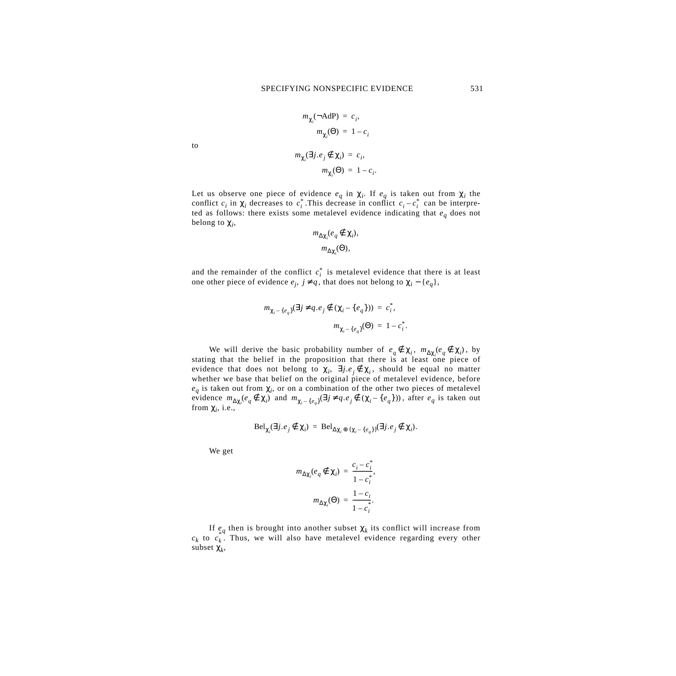$$
m_{\chi_i}(\neg \text{AdP}) = c_i,
$$
  
\n
$$
m_{\chi_i}(\Theta) = 1 - c_i
$$
  
\n
$$
m_{\chi_i}(\exists j.e_j \notin \chi_i) = c_i,
$$
  
\n
$$
m_{\chi_i}(\Theta) = 1 - c_i.
$$

Let us observe one piece of evidence  $e_q$  in  $\chi_i$ . If  $e_q$  is taken out from  $\chi_i$  the conflict  $c_i$  in  $\chi_i$  decreases to  $c_i^*$ . This decrease in conflict  $c_i - c_i^*$  can be interpreted as follows: there exists some metalevel evidence indicating that  $e_q$  does not belong to  $\chi_i$ ,

$$
m_{\Delta \chi_i}(e_q \notin \chi_i),
$$

$$
m_{\Delta \chi_i}(\Theta),
$$

and the remainder of the conflict  $c_i^*$  is metalevel evidence that there is at least one other piece of evidence  $e_j$ ,  $j \neq q$ , that does not belong to  $\chi_i - \{e_q\}$ ,

$$
m_{\chi_i - \{e_q\}}(\exists j \neq q.e_j \notin (\chi_i - \{e_q\})) = c_i^*,
$$
  

$$
m_{\chi_i - \{e_q\}}(\Theta) = 1 - c_i^*.
$$

We will derive the basic probability number of  $e_a \notin \chi_i$ ,  $m_{\Delta x} (e_a \notin \chi_i)$ , by We will derive the basic probability number of  $e_q \notin \chi_i$ ,  $m_{\Delta \chi_i}(e_q \notin \chi_i)$ , by stating that the belief in the proposition that there is at least one piece of evidence that does not belong to  $\chi_i$ ,  $\exists j.e_j \notin \chi_i$ , should be equal no matter whether we base that belief on the original piece of metalevel evidence, before  $e_q$  is taken out from  $\chi_i$ , or on a combination of the other two pieces of metalevel evidence  $m_{\Delta \chi_i}(e_q \notin \chi_i)$  and  $m_{\chi_i - \{e_q\}}(\exists j \neq q.e_j \notin (\chi_i - \{e_q\}))$ , after  $e_q$  is taken out from  $\chi_i$ , i.e.,

$$
\mathrm{Bel}_{\chi_i}(\exists j.e_j \notin \chi_i) = \mathrm{Bel}_{\Delta\chi_i \oplus (\chi_i - \{e_q\})}(\exists j.e_j \notin \chi_i).
$$

We get

$$
m_{\Delta \chi_i}(e_q \notin \chi_i) = \frac{c_i - c_i^*}{1 - c_i^*},
$$

$$
m_{\Delta \chi_i}(\Theta) = \frac{1 - c_i}{1 - c_i^*}.
$$

If  $e_q$  then is brought into another subset  $\chi_k$  its conflict will increase from  $c_k$  to  $c_k^*$ . Thus, we will also have metalevel evidence regarding every other subset χ*k*,

to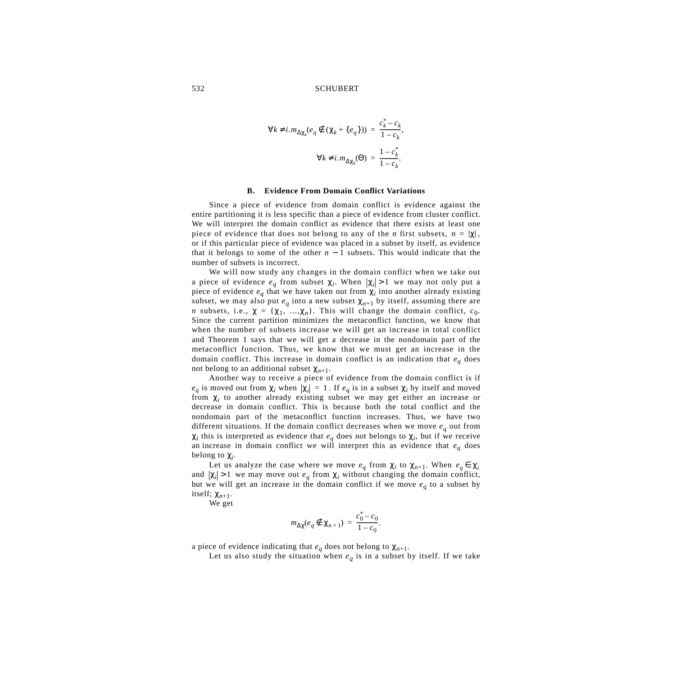$$
\forall k \neq i.m_{\Delta \chi_k}(e_q \notin (\chi_k + \{e_q\})) = \frac{c_k^* - c_k}{1 - c_k},
$$

$$
\forall k \neq i.m_{\Delta \chi_k}(\Theta) = \frac{1 - c_k^*}{1 - c_k}.
$$

#### **B. Evidence From Domain Conflict Variations**

Since a piece of evidence from domain conflict is evidence against the entire partitioning it is less specific than a piece of evidence from cluster conflict. We will interpret the domain conflict as evidence that there exists at least one piece of evidence that does not belong to any of the *n* first subsets,  $n = |\chi|$ , or if this particular piece of evidence was placed in a subset by itself, as evidence that it belongs to some of the other  $n - 1$  subsets. This would indicate that the number of subsets is incorrect.

We will now study any changes in the domain conflict when we take out a piece of evidence  $e_q$  from subset  $\chi_i$ . When  $|\chi_i| > 1$  we may not only put a piece of evidence  $e_q$  that we have taken out from  $\chi_i$  into another already existing subset, we may also put  $e_q$  into a new subset  $\chi_{n+1}$  by itself, assuming there are *n* subsets, i.e.,  $\chi = {\chi_1, \ldots, \chi_n}$ . This will change the domain conflict,  $c_0$ . Since the current partition minimizes the metaconflict function, we know that when the number of subsets increase we will get an increase in total conflict and Theorem 1 says that we will get a decrease in the nondomain part of the metaconflict function. Thus, we know that we must get an increase in the domain conflict. This increase in domain conflict is an indication that  $e_q$  does not belong to an additional subset  $\chi_{n+1}$ .

Another way to receive a piece of evidence from the domain conflict is if *e<sub>q</sub>* is moved out from  $\chi_i$  when  $|\chi_i| = 1$ . If  $e_q$  is in a subset  $\chi_i$  by itself and moved from  $\chi_i$  to another already existing subset we may get either an increase or decrease in domain conflict. This is because both the total conflict and the nondomain part of the metaconflict function increases. Thus, we have two different situations. If the domain conflict decreases when we move  $e_q$  out from  $\chi_i$  this is interpreted as evidence that  $e_q$  does not belongs to  $\chi_i$ , but if we receive an increase in domain conflict we will interpret this as evidence that  $e_q$  does belong to χ*i*.

Let us analyze the case where we move  $e_q$  from  $\chi_i$  to  $\chi_{n+1}$ . When  $e_q \in \chi_i$ and  $|\chi_i| > 1$  we may move out  $e_q$  from  $\chi_i$  without changing the domain conflict, but we will get an increase in the domain conflict if we move  $e_q$  to a subset by itself;  $\chi_{n+1}$ .

We get

$$
m_{\Delta\chi}(e_q \notin \chi_{n+1}) = \frac{c_0^*-c_0}{1-c_0}.
$$

a piece of evidence indicating that  $e_q$  does not belong to  $\chi_{n+1}$ .

Let us also study the situation when  $e_q$  is in a subset by itself. If we take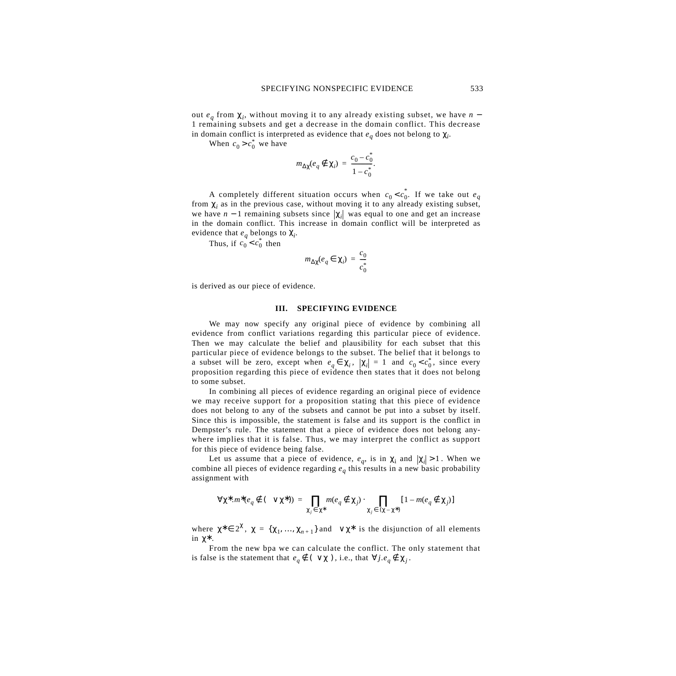out  $e_q$  from  $\chi_i$ , without moving it to any already existing subset, we have *n* − 1 remaining subsets and get a decrease in the domain conflict. This decrease in domain conflict is interpreted as evidence that  $e_q$  does not belong to  $\chi_i$ .

When  $c_0 > c_0^*$  we have

$$
m_{\Delta\chi}(e_q \notin \chi_i) = \frac{c_0 - c_0^*}{1 - c_0^*}.
$$

A completely different situation occurs when  $c_0 < c_0^*$ . If we take out  $e_q$ from  $\chi_i$  as in the previous case, without moving it to any already existing subset, we have  $n-1$  remaining subsets since  $|\chi_i|$  was equal to one and get an increase in the domain conflict. This increase in domain conflict will be interpreted as evidence that  $e_q$  belongs to  $\chi_i$ .

Thus, if  $c_0^2 < c_0^*$  then

$$
m_{\Delta\chi}(e_q \in \chi_i) = \frac{c_0}{c_0^*}
$$

is derived as our piece of evidence.

### **III. SPECIFYING EVIDENCE**

We may now specify any original piece of evidence by combining all evidence from conflict variations regarding this particular piece of evidence. Then we may calculate the belief and plausibility for each subset that this particular piece of evidence belongs to the subset. The belief that it belongs to a subset will be zero, except when  $e_q \in \chi_i$ ,  $|\chi_i| = 1$  and  $c_0 < c_0^*$ , since every proposition regarding this piece of evidence then states that it does not belong to some subset.

In combining all pieces of evidence regarding an original piece of evidence we may receive support for a proposition stating that this piece of evidence does not belong to any of the subsets and cannot be put into a subset by itself. Since this is impossible, the statement is false and its support is the conflict in Dempster's rule. The statement that a piece of evidence does not belong anywhere implies that it is false. Thus, we may interpret the conflict as support for this piece of evidence being false.

Let us assume that a piece of evidence,  $e_q$ , is in  $\chi_i$  and  $|\chi_i| > 1$ . When we combine all pieces of evidence regarding  $e_q$  this results in a new basic probability assignment with

$$
\forall \chi^*, m^*(e_q \notin (\neg \vee \chi^*)) = \prod_{\chi_j \in \chi^*} m(e_q \notin \chi_j) \cdot \prod_{\chi_j \in (\chi - \chi^*)} [1 - m(e_q \notin \chi_j)]
$$

where  $\chi^* \in 2^{\chi}$ ,  $\chi = {\chi_1, ..., \chi_{n+1}}$  and  $\vee \chi^*$  is the disjunction of all elements in  $\chi^*$ .

From the new bpa we can calculate the conflict. The only statement that is false is the statement that  $e_q \notin ( \vee \chi)$ , i.e., that  $\forall j.e_q \notin \chi_j$ .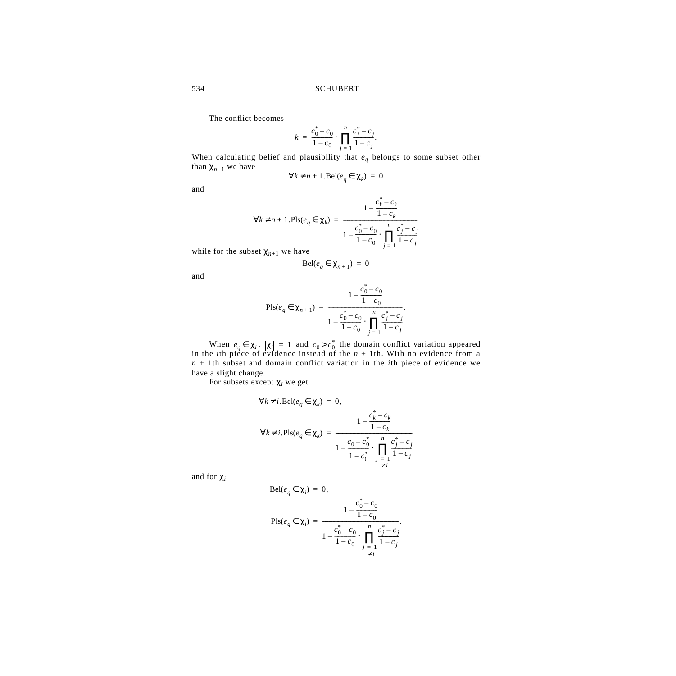The conflict becomes

$$
k = \frac{c_0^* - c_0}{1 - c_0} \cdot \prod_{j=1}^n \frac{c_j^* - c_j}{1 - c_j}.
$$

When calculating belief and plausibility that *eq* belongs to some subset other than  $\chi_{n+1}$  we have

$$
\forall k \neq n+1. \text{Bel}(e_q \in \chi_k) = 0
$$

and

$$
\forall k \neq n+1. \text{PIs}(e_q \in \chi_k) = \frac{1 - \frac{c_k^* - c_k}{1 - c_k}}{1 - \frac{c_0^* - c_0}{1 - c_0} \cdot \prod_{j=1}^n \frac{c_j^* - c_j}{1 - c_j}}
$$

while for the subset  $\chi_{n+1}$  we have

$$
\text{Bel}(e_q \in \chi_{n+1}) = 0
$$

and

$$
\text{Pls}(e_q \in \chi_{n+1}) = \frac{1 - \frac{c_0^* - c_0}{1 - c_0}}{1 - \frac{c_0^* - c_0}{1 - c_0} \cdot \prod_{j=1}^n \frac{c_j^* - c_j}{1 - c_j}}.
$$

When  $e_{a} \in \chi_{i}$ ,  $|\chi_{i}| = 1$  and  $c_{0} > c_{0}^{*}$  the domain conflict variation appeared in the *i*th piece of evidence instead of the *n* + 1th. With no evidence from a *n* + 1th subset and domain conflict variation in the *i*th piece of evidence we have a slight change.  $e_q \in \chi_i$ ,  $|\chi_i| = 1$  and  $c_0 > c_0^*$ 

For subsets except χ*i* we get

$$
\forall k \neq i. \text{Bel}(e_q \in \chi_k) = 0,
$$
  

$$
1 - \frac{c_k^* - c_k}{1 - c_k}
$$
  

$$
\forall k \neq i. \text{PIs}(e_q \in \chi_k) = \frac{1 - \frac{c_0 - c_0^*}{1 - c_k}}{1 - \frac{c_0 - c_0^*}{1 - c_0} \cdot \prod_{\substack{j=1 \ j \neq i}}^{n} \frac{c_j^* - c_j}{1 - c_j}}
$$

and for χ*<sup>i</sup>*

$$
\text{Bel}(e_q \in \chi_i) = 0,
$$

$$
\text{Pls}(e_q \in \chi_i) = \frac{1 - \frac{c_0^* - c_0}{1 - c_0}}{1 - \frac{c_0^* - c_0}{1 - c_0} \cdot \prod_{\substack{j = 1 \\ j \neq i}}^n \frac{c_j^* - c_j}{1 - c_j}}.
$$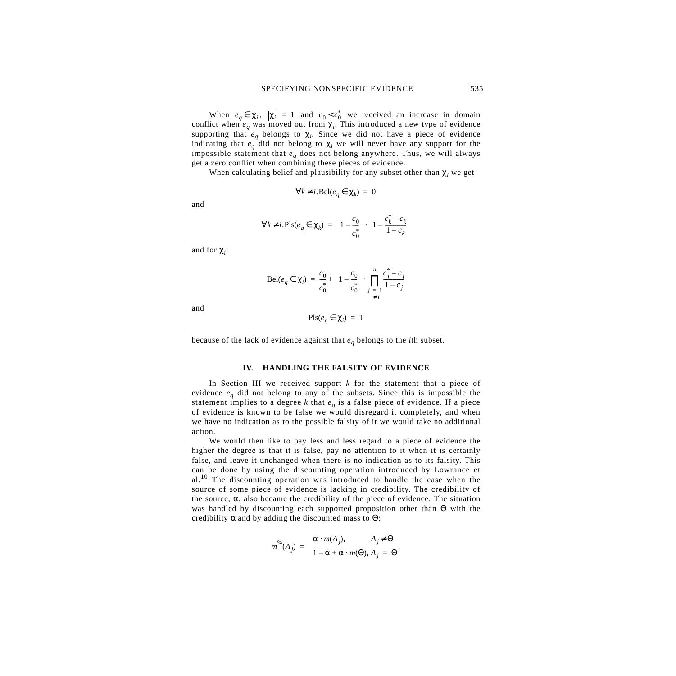When  $e_a \in \chi_i$ ,  $|\chi_i| = 1$  and  $c_0 < c_0^*$  we received an increase in domain conflict when  $e_q$  was moved out from  $\chi_i$ . This introduced a new type of evidence supporting that  $e_q$  belongs to  $\chi_i$ . Since we did not have a piece of evidence indicating that  $e_q$  did not belong to  $\chi_i$  we will never have any support for the impossible statement that  $e_q$  does not belong anywhere. Thus, we will always get a zero conflict when combining these pieces of evidence.  $e_q \in \chi_i$ ,  $|\chi_i| = 1$  and  $c_0 < c_0^*$ 

When calculating belief and plausibility for any subset other than χ*i* we get

$$
\forall k \neq i. \text{Bel}(e_q \in \chi_k) = 0
$$

and

$$
\forall k \neq i. \text{PIs}(e_q \in \chi_k) = \left(1 - \frac{c_0}{c_0^*}\right) \cdot \left(1 - \frac{c_k^* - c_k}{1 - c_k}\right)
$$

and for χ*i*:

$$
\text{Bel}(e_q \in \chi_i) = \frac{c_0}{c_0^*} + \left(1 - \frac{c_0}{c_0^*}\right) \cdot \prod_{\substack{j=1 \ i \neq i}}^n \frac{c_j^* - c_j}{1 - c_j}
$$

and

$$
\text{Pls}(e_q \in \chi_i) = 1
$$

because of the lack of evidence against that  $e_q$  belongs to the *i*th subset.

# **IV. HANDLING THE FALSITY OF EVIDENCE**

In Section III we received support  $k$  for the statement that a piece of evidence  $e_a$  did not belong to any of the subsets. Since this is impossible the statement implies to a degree  $k$  that  $e_q$  is a false piece of evidence. If a piece of evidence is known to be false we would disregard it completely, and when we have no indication as to the possible falsity of it we would take no additional action.

We would then like to pay less and less regard to a piece of evidence the higher the degree is that it is false, pay no attention to it when it is certainly false, and leave it unchanged when there is no indication as to its falsity. This can be done by using the discounting operation introduced by Lowrance et al.<sup>10</sup> The discounting operation was introduced to handle the case when the source of some piece of evidence is lacking in credibility. The credibility of the source,  $\alpha$ , also became the credibility of the piece of evidence. The situation was handled by discounting each supported proposition other than Θ with the credibility  $\alpha$  and by adding the discounted mass to  $\Theta$ ;

$$
m^{\%}(A_j) = \begin{cases} \alpha \cdot m(A_j), & A_j \neq \Theta \\ 1 - \alpha + \alpha \cdot m(\Theta), A_j = \Theta \end{cases}.
$$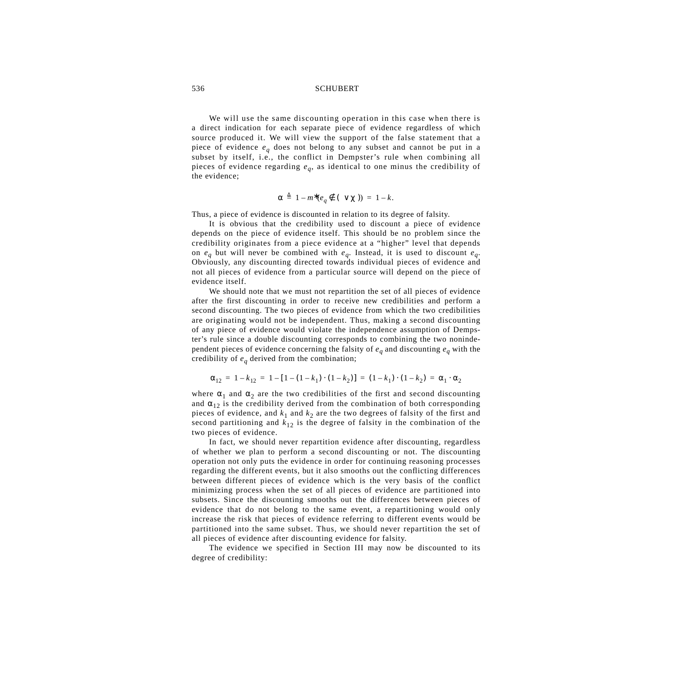We will use the same discounting operation in this case when there is a direct indication for each separate piece of evidence regardless of which source produced it. We will view the support of the false statement that a piece of evidence *eq* does not belong to any subset and cannot be put in a subset by itself, i.e., the conflict in Dempster's rule when combining all pieces of evidence regarding  $e_q$ , as identical to one minus the credibility of the evidence;

$$
\alpha \triangleq 1 - m^*(e_q \notin (\vee \chi)) = 1 - k.
$$

Thus, a piece of evidence is discounted in relation to its degree of falsity.

It is obvious that the credibility used to discount a piece of evidence depends on the piece of evidence itself. This should be no problem since the credibility originates from a piece evidence at a "higher" level that depends on  $e_q$  but will never be combined with  $e_q$ . Instead, it is used to discount  $e_q$ . Obviously, any discounting directed towards individual pieces of evidence and not all pieces of evidence from a particular source will depend on the piece of evidence itself.

We should note that we must not repartition the set of all pieces of evidence after the first discounting in order to receive new credibilities and perform a second discounting. The two pieces of evidence from which the two credibilities are originating would not be independent. Thus, making a second discounting of any piece of evidence would violate the independence assumption of Dempster's rule since a double discounting corresponds to combining the two nonindependent pieces of evidence concerning the falsity of  $e_a$  and discounting  $e_a$  with the credibility of  $e_q$  derived from the combination;

$$
\alpha_{12} = 1 - k_{12} = 1 - [1 - (1 - k_1) \cdot (1 - k_2)] = (1 - k_1) \cdot (1 - k_2) = \alpha_1 \cdot \alpha_2
$$

where  $\alpha_1$  and  $\alpha_2$  are the two credibilities of the first and second discounting and  $\alpha_{12}$  is the credibility derived from the combination of both corresponding pieces of evidence, and  $k_1$  and  $k_2$  are the two degrees of falsity of the first and second partitioning and  $k_{12}$  is the degree of falsity in the combination of the two pieces of evidence.

In fact, we should never repartition evidence after discounting, regardless of whether we plan to perform a second discounting or not. The discounting operation not only puts the evidence in order for continuing reasoning processes regarding the different events, but it also smooths out the conflicting differences between different pieces of evidence which is the very basis of the conflict minimizing process when the set of all pieces of evidence are partitioned into subsets. Since the discounting smooths out the differences between pieces of evidence that do not belong to the same event, a repartitioning would only increase the risk that pieces of evidence referring to different events would be partitioned into the same subset. Thus, we should never repartition the set of all pieces of evidence after discounting evidence for falsity.

The evidence we specified in Section III may now be discounted to its degree of credibility: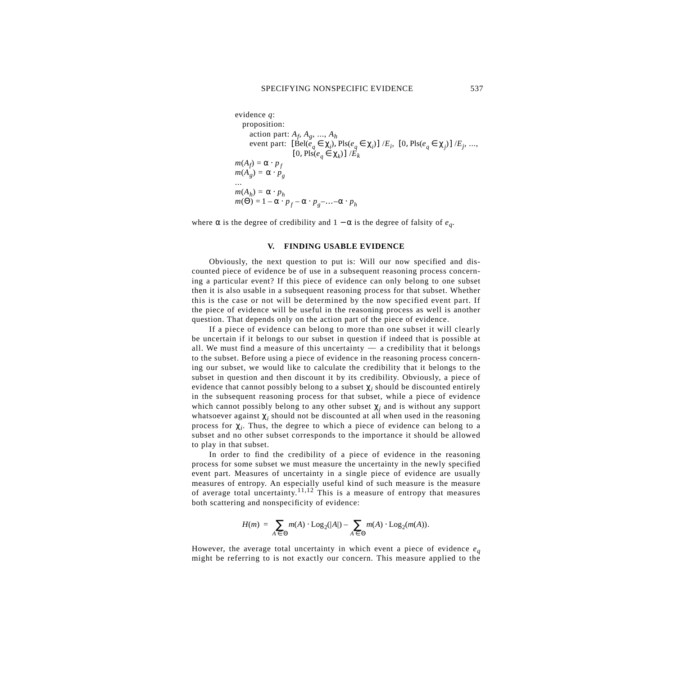evidence *q*: proposition: action part:  $A_f$ ,  $A_g$ , ...,  $A_h$ event part:  $[\text{Bel}(e_q \in \chi_i), \text{Pls}(e_q \in \chi_i)] / E_i$ ,  $[0, \text{Pls}(e_q \in \chi_j)] / E_j$ , ...,  $[0, \text{PIs}(e_q \in \chi_k)] / E_k$  $m(A_f) = \alpha \cdot p_f$  $m(A_g) = \alpha \cdot p_g$ ...  $m(A_h) = \alpha \cdot p_h$  $m(\Theta) = 1 - \alpha \cdot p_f - \alpha \cdot p_g - \ldots -\alpha \cdot p_h$ 

where  $\alpha$  is the degree of credibility and  $1 - \alpha$  is the degree of falsity of  $e_q$ .

# **V. FINDING USABLE EVIDENCE**

Obviously, the next question to put is: Will our now specified and discounted piece of evidence be of use in a subsequent reasoning process concerning a particular event? If this piece of evidence can only belong to one subset then it is also usable in a subsequent reasoning process for that subset. Whether this is the case or not will be determined by the now specified event part. If the piece of evidence will be useful in the reasoning process as well is another question. That depends only on the action part of the piece of evidence.

If a piece of evidence can belong to more than one subset it will clearly be uncertain if it belongs to our subset in question if indeed that is possible at all. We must find a measure of this uncertainty  $-$  a credibility that it belongs to the subset. Before using a piece of evidence in the reasoning process concerning our subset, we would like to calculate the credibility that it belongs to the subset in question and then discount it by its credibility. Obviously, a piece of evidence that cannot possibly belong to a subset  $\chi_i$  should be discounted entirely in the subsequent reasoning process for that subset, while a piece of evidence which cannot possibly belong to any other subset  $\chi_i$  and is without any support whatsoever against  $\chi_i$  should not be discounted at all when used in the reasoning process for  $\chi_i$ . Thus, the degree to which a piece of evidence can belong to a subset and no other subset corresponds to the importance it should be allowed to play in that subset.

In order to find the credibility of a piece of evidence in the reasoning process for some subset we must measure the uncertainty in the newly specified event part. Measures of uncertainty in a single piece of evidence are usually measures of entropy. An especially useful kind of such measure is the measure of average total uncertainty.<sup>11,12</sup> This is a measure of entropy that measures both scattering and nonspecificity of evidence:

$$
H(m) = \sum_{A \in \Theta} m(A) \cdot \text{Log}_2(|A|) - \sum_{A \in \Theta} m(A) \cdot \text{Log}_2(m(A)).
$$

However, the average total uncertainty in which event a piece of evidence  $e_q$ might be referring to is not exactly our concern. This measure applied to the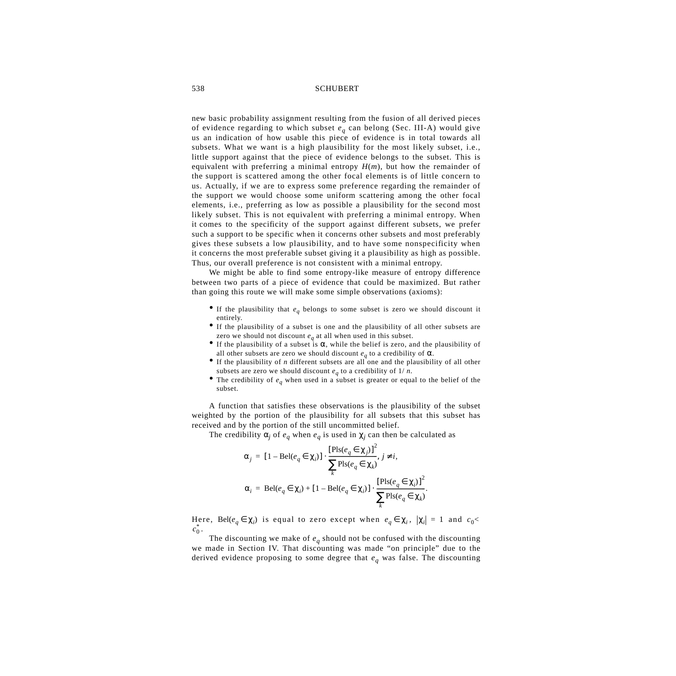new basic probability assignment resulting from the fusion of all derived pieces of evidence regarding to which subset  $e_q$  can belong (Sec. III-A) would give us an indication of how usable this piece of evidence is in total towards all subsets. What we want is a high plausibility for the most likely subset, i.e., little support against that the piece of evidence belongs to the subset. This is equivalent with preferring a minimal entropy  $H(m)$ , but how the remainder of the support is scattered among the other focal elements is of little concern to us. Actually, if we are to express some preference regarding the remainder of the support we would choose some uniform scattering among the other focal elements, i.e., preferring as low as possible a plausibility for the second most likely subset. This is not equivalent with preferring a minimal entropy. When it comes to the specificity of the support against different subsets, we prefer such a support to be specific when it concerns other subsets and most preferably gives these subsets a low plausibility, and to have some nonspecificity when it concerns the most preferable subset giving it a plausibility as high as possible. Thus, our overall preference is not consistent with a minimal entropy.

We might be able to find some entropy-like measure of entropy difference between two parts of a piece of evidence that could be maximized. But rather than going this route we will make some simple observations (axioms):

- If the plausibility that *eq* belongs to some subset is zero we should discount it entirely.
- If the plausibility of a subset is one and the plausibility of all other subsets are zero we should not discount  $e_q$  at all when used in this subset.
- If the plausibility of a subset is  $\alpha$ , while the belief is zero, and the plausibility of all other subsets are zero we should discount  $e_a$  to a credibility of  $\alpha$ .
- If the plausibility of *<sup>n</sup>* different subsets are all one and the plausibility of all other subsets are zero we should discount  $e_a$  to a credibility of  $1/n$ .
- The credibility of  $e_q$  when used in a subset is greater or equal to the belief of the subset.

A function that satisfies these observations is the plausibility of the subset weighted by the portion of the plausibility for all subsets that this subset has received and by the portion of the still uncommitted belief.

The credibility  $\alpha_j$  of  $e_q$  when  $e_q$  is used in  $\chi_j$  can then be calculated as

$$
\alpha_j = [1 - \text{Bel}(e_q \in \chi_i)] \cdot \frac{[\text{Pls}(e_q \in \chi_j)]^2}{\sum_k \text{Pls}(e_q \in \chi_k)}, j \neq i,
$$
  

$$
\alpha_i = \text{Bel}(e_q \in \chi_i) + [1 - \text{Bel}(e_q \in \chi_i)] \cdot \frac{[\text{Pls}(e_q \in \chi_i)]^2}{\sum_k \text{Pls}(e_q \in \chi_k)}.
$$

Here, Bel( $e_q \in \chi_i$ ) is equal to zero except when  $e_q \in \chi_i$ ,  $|\chi_i| = 1$  and  $c_0 <$  $c_0^*$  .

The discounting we make of  $e_q$  should not be confused with the discounting we made in Section IV. That discounting was made "on principle" due to the derived evidence proposing to some degree that  $e_a$  was false. The discounting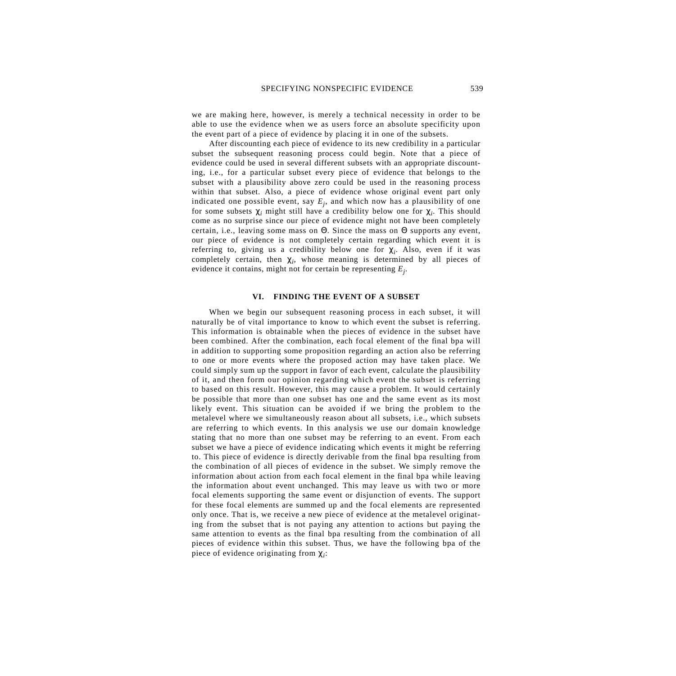we are making here, however, is merely a technical necessity in order to be able to use the evidence when we as users force an absolute specificity upon the event part of a piece of evidence by placing it in one of the subsets.

After discounting each piece of evidence to its new credibility in a particular subset the subsequent reasoning process could begin. Note that a piece of evidence could be used in several different subsets with an appropriate discounting, i.e., for a particular subset every piece of evidence that belongs to the subset with a plausibility above zero could be used in the reasoning process within that subset. Also, a piece of evidence whose original event part only indicated one possible event, say  $E_i$ , and which now has a plausibility of one for some subsets  $\chi_i$  might still have a credibility below one for  $\chi_i$ . This should come as no surprise since our piece of evidence might not have been completely certain, i.e., leaving some mass on Θ. Since the mass on Θ supports any event, our piece of evidence is not completely certain regarding which event it is referring to, giving us a credibility below one for  $\chi_i$ . Also, even if it was completely certain, then  $\chi_i$ , whose meaning is determined by all pieces of evidence it contains, might not for certain be representing *Ej*.

# **VI. FINDING THE EVENT OF A SUBSET**

When we begin our subsequent reasoning process in each subset, it will naturally be of vital importance to know to which event the subset is referring. This information is obtainable when the pieces of evidence in the subset have been combined. After the combination, each focal element of the final bpa will in addition to supporting some proposition regarding an action also be referring to one or more events where the proposed action may have taken place. We could simply sum up the support in favor of each event, calculate the plausibility of it, and then form our opinion regarding which event the subset is referring to based on this result. However, this may cause a problem. It would certainly be possible that more than one subset has one and the same event as its most likely event. This situation can be avoided if we bring the problem to the metalevel where we simultaneously reason about all subsets, i.e., which subsets are referring to which events. In this analysis we use our domain knowledge stating that no more than one subset may be referring to an event. From each subset we have a piece of evidence indicating which events it might be referring to. This piece of evidence is directly derivable from the final bpa resulting from the combination of all pieces of evidence in the subset. We simply remove the information about action from each focal element in the final bpa while leaving the information about event unchanged. This may leave us with two or more focal elements supporting the same event or disjunction of events. The support for these focal elements are summed up and the focal elements are represented only once. That is, we receive a new piece of evidence at the metalevel originating from the subset that is not paying any attention to actions but paying the same attention to events as the final bpa resulting from the combination of all pieces of evidence within this subset. Thus, we have the following bpa of the piece of evidence originating from χ*i*: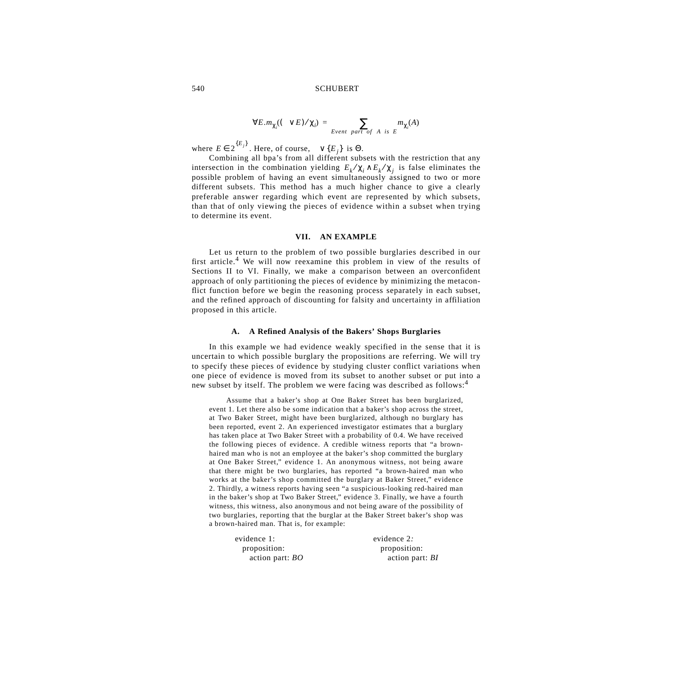$$
\forall E.m_{\chi_i}((\vee E)/\chi_i) = \sum_{Event\ part\ of\ A\ is\ E} m_{\chi_i}(A)
$$

where  $E \in 2^{\binom{n}{j}}$ . Here, of course,  $\forall \{E_i\}$  is  $\Theta$ .  $E \in 2^{\{E_j\}}$ . Here, of course,  $\forall \{E_j\}$ 

Combining all bpa's from all different subsets with the restriction that any intersection in the combination yielding  $E_k / \chi_i \wedge E_k / \chi_j$  is false eliminates the possible problem of having an event simultaneously assigned to two or more different subsets. This method has a much higher chance to give a clearly preferable answer regarding which event are represented by which subsets, than that of only viewing the pieces of evidence within a subset when trying to determine its event.

# **VII. AN EXAMPLE**

Let us return to the problem of two possible burglaries described in our first article.<sup>4</sup> We will now reexamine this problem in view of the results of Sections II to VI. Finally, we make a comparison between an overconfident approach of only partitioning the pieces of evidence by minimizing the metaconflict function before we begin the reasoning process separately in each subset, and the refined approach of discounting for falsity and uncertainty in affiliation proposed in this article.

# **A. A Refined Analysis of the Bakers' Shops Burglaries**

In this example we had evidence weakly specified in the sense that it is uncertain to which possible burglary the propositions are referring. We will try to specify these pieces of evidence by studying cluster conflict variations when one piece of evidence is moved from its subset to another subset or put into a new subset by itself. The problem we were facing was described as follows:<sup>4</sup>

Assume that a baker's shop at One Baker Street has been burglarized, event 1. Let there also be some indication that a baker's shop across the street, at Two Baker Street, might have been burglarized, although no burglary has been reported, event 2. An experienced investigator estimates that a burglary has taken place at Two Baker Street with a probability of 0.4. We have received the following pieces of evidence. A credible witness reports that "a brownhaired man who is not an employee at the baker's shop committed the burglary at One Baker Street," evidence 1. An anonymous witness, not being aware that there might be two burglaries, has reported "a brown-haired man who works at the baker's shop committed the burglary at Baker Street," evidence 2. Thirdly, a witness reports having seen "a suspicious-looking red-haired man in the baker's shop at Two Baker Street," evidence 3. Finally, we have a fourth witness, this witness, also anonymous and not being aware of the possibility of two burglaries, reporting that the burglar at the Baker Street baker's shop was a brown-haired man. That is, for example:

| evidence 1:       | evidence 2:     |
|-------------------|-----------------|
| proposition:      | proposition:    |
| action part: $BO$ | action part: BI |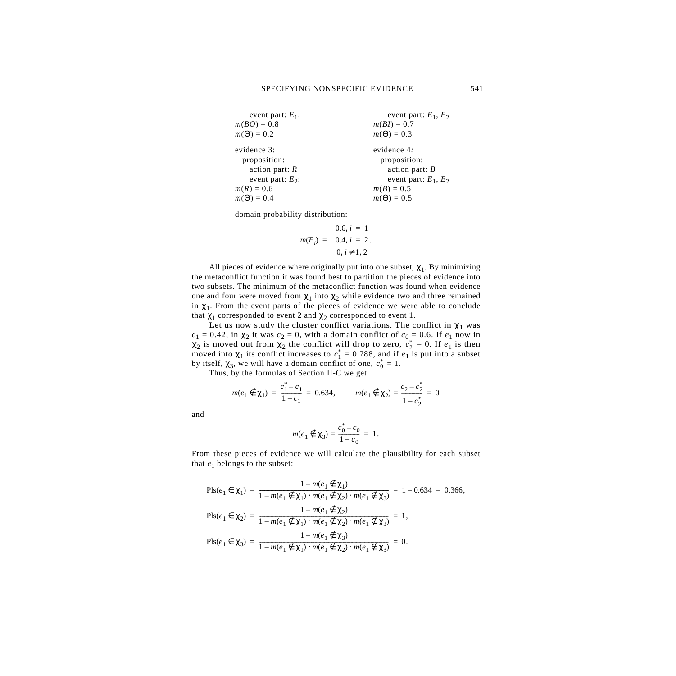| event part: $E_1$ : | event part: $E_1, E_2$ |
|---------------------|------------------------|
| $m(BO) = 0.8$       | $m(BI) = 0.7$          |
| $m(\Theta) = 0.2$   | $m(\Theta) = 0.3$      |
| evidence 3:         | evidence 4:            |
| proposition:        | proposition:           |
| action part: $R$    | action part: $B$       |
| event part: $E_2$ : | event part: $E_1, E_2$ |
| $m(R) = 0.6$        | $m(B) = 0.5$           |
| $m(\Theta) = 0.4$   | $m(\Theta) = 0.5$      |
|                     |                        |

domain probability distribution:

$$
m(E_i) = \begin{cases} 0.6, i = 1 \\ 0.4, i = 2 \\ 0, i \neq 1, 2 \end{cases}
$$

All pieces of evidence where originally put into one subset,  $\chi_1$ . By minimizing the metaconflict function it was found best to partition the pieces of evidence into two subsets. The minimum of the metaconflict function was found when evidence one and four were moved from  $\chi_1$  into  $\chi_2$  while evidence two and three remained in  $\chi_1$ . From the event parts of the pieces of evidence we were able to conclude that  $\chi_1$  corresponded to event 2 and  $\chi_2$  corresponded to event 1.

Let us now study the cluster conflict variations. The conflict in  $\chi_1$  was  $c_1 = 0.42$ , in  $\chi_2$  it was  $c_2 = 0$ , with a domain conflict of  $c_0 = 0.6$ . If  $e_1$  now in  $\chi_2$  is moved out from  $\chi_2$  the conflict will drop to zero,  $c_2^* = 0$ . If  $e_1$  is then moved into  $\chi_1$  its conflict increases to  $c_1^* = 0.788$ , and if  $e_1$  is put into a subset by itself,  $\chi_3$ , we will have a domain conflict of one,  $c_0^* = 1$ .  $c_2^*$  $c_1^*$ 

Thus, by the formulas of Section II-C we get

$$
m(e_1 \notin \chi_1) = \frac{c_1^* - c_1}{1 - c_1} = 0.634, \qquad m(e_1 \notin \chi_2) = \frac{c_2 - c_2^*}{1 - c_2^*} = 0
$$

and

$$
m(e_1 \notin \chi_3) = \frac{c_0^* - c_0}{1 - c_0} = 1.
$$

From these pieces of evidence we will calculate the plausibility for each subset that  $e_1$  belongs to the subset:

$$
\text{PIs}(e_1 \in \chi_1) = \frac{1 - m(e_1 \notin \chi_1)}{1 - m(e_1 \notin \chi_1) \cdot m(e_1 \notin \chi_2) \cdot m(e_1 \notin \chi_3)} = 1 - 0.634 = 0.366,
$$
\n
$$
\text{PIs}(e_1 \in \chi_2) = \frac{1 - m(e_1 \notin \chi_2)}{1 - m(e_1 \notin \chi_1) \cdot m(e_1 \notin \chi_2) \cdot m(e_1 \notin \chi_3)} = 1,
$$
\n
$$
\text{PIs}(e_1 \in \chi_3) = \frac{1 - m(e_1 \notin \chi_3)}{1 - m(e_1 \notin \chi_1) \cdot m(e_1 \notin \chi_2) \cdot m(e_1 \notin \chi_3)} = 0.
$$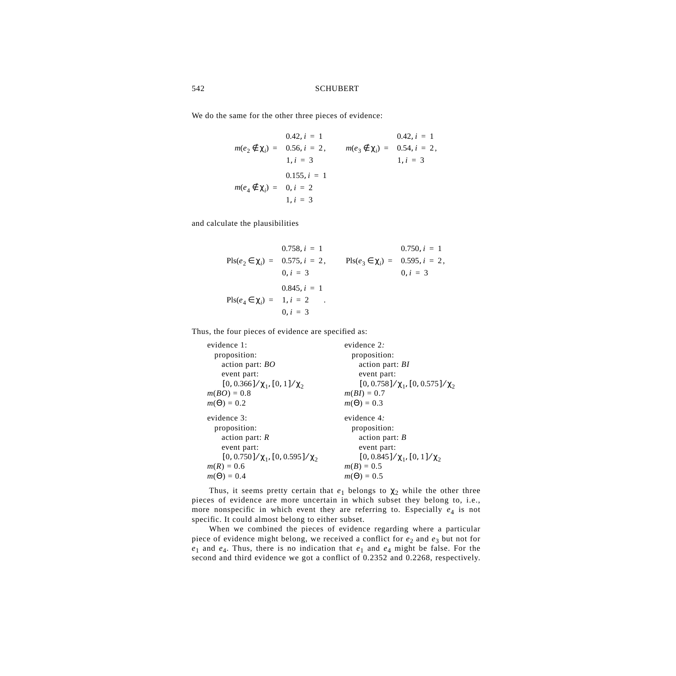We do the same for the other three pieces of evidence:

$$
m(e_2 \notin \chi_i) = \begin{cases} 0.42, i = 1 \\ 0.56, i = 2, \\ 1, i = 3 \end{cases} \qquad m(e_3 \notin \chi_i) = \begin{cases} 0.42, i = 1 \\ 0.54, i = 2, \\ 1, i = 3 \end{cases}
$$

$$
m(e_4 \notin \chi_i) = \begin{cases} 0.155, i = 1 \\ 0, i = 2 \\ 1, i = 3 \end{cases}
$$

and calculate the plausibilities

$$
\text{PIs}(e_2 \in \chi_i) = \begin{cases} 0.758, i = 1 \\ 0.575, i = 2, \\ 0, i = 3 \end{cases} \quad \text{PIs}(e_3 \in \chi_i) = \begin{cases} 0.750, i = 1 \\ 0.595, i = 2, \\ 0, i = 3 \end{cases}
$$

$$
\text{PIs}(e_4 \in \chi_i) = \begin{cases} 0.845, i = 1 \\ 1, i = 2 \\ 0, i = 3 \end{cases}.
$$

Thus, the four pieces of evidence are specified as:

| evidence 1:                                 | evidence 2:                                 |
|---------------------------------------------|---------------------------------------------|
| proposition:                                | proposition:                                |
| action part: $BO$                           | action part: BI                             |
| event part:                                 | event part:                                 |
| [0, 0.366]/ $\chi_1$ , [0, 1]/ $\chi_2$     | [0, 0.758]/ $\chi_1$ , [0, 0.575]/ $\chi_2$ |
| $m(BO) = 0.8$                               | $m(BI) = 0.7$                               |
| $m(\Theta) = 0.2$                           | $m(\Theta) = 0.3$                           |
|                                             |                                             |
| evidence 3:                                 | evidence 4:                                 |
| proposition:                                | proposition:                                |
| action part: $R$                            | action part: $B$                            |
| event part:                                 | event part:                                 |
| [0, 0.750]/ $\chi_1$ , [0, 0.595]/ $\chi_2$ | [0, 0.845]/ $\chi_1$ , [0, 1]/ $\chi_2$     |
| $m(R) = 0.6$                                | $m(B) = 0.5$                                |

Thus, it seems pretty certain that  $e_1$  belongs to  $\chi_2$  while the other three pieces of evidence are more uncertain in which subset they belong to, i.e., more nonspecific in which event they are referring to. Especially  $e_4$  is not specific. It could almost belong to either subset.

When we combined the pieces of evidence regarding where a particular piece of evidence might belong, we received a conflict for  $e_2$  and  $e_3$  but not for  $e_1$  and  $e_4$ . Thus, there is no indication that  $e_1$  and  $e_4$  might be false. For the second and third evidence we got a conflict of 0.2352 and 0.2268, respectively.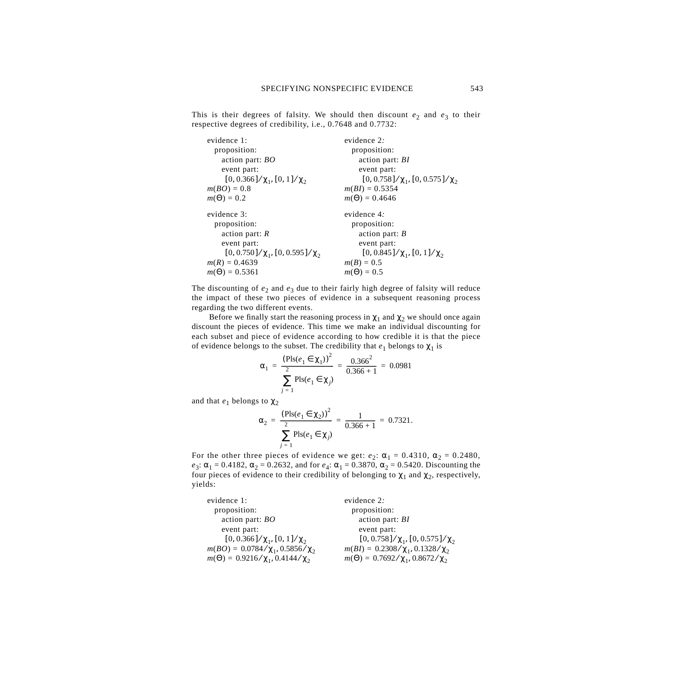This is their degrees of falsity. We should then discount  $e_2$  and  $e_3$  to their respective degrees of credibility, i.e., 0.7648 and 0.7732:

| evidence 1:                                 | evidence 2:                                 |
|---------------------------------------------|---------------------------------------------|
| proposition:                                | proposition:                                |
| action part: $BO$                           | action part: BI                             |
| event part:                                 | event part:                                 |
| [0, 0.366]/ $\chi_1$ , [0, 1]/ $\chi_2$     | [0, 0.758]/ $\chi_1$ , [0, 0.575]/ $\chi_2$ |
| $m(BO) = 0.8$                               | $m(BI) = 0.5354$                            |
| $m(\Theta) = 0.2$                           | $m(\Theta) = 0.4646$                        |
|                                             |                                             |
| evidence 3:                                 | evidence $4$ :                              |
| proposition:                                | proposition:                                |
| action part: $R$                            | action part: $B$                            |
| event part:                                 | event part:                                 |
| [0, 0.750]/ $\chi_1$ , [0, 0.595]/ $\chi_2$ | [0, 0.845]/ $\chi_1$ , [0, 1]/ $\chi_2$     |
| $m(R) = 0.4639$                             | $m(B) = 0.5$                                |

The discounting of  $e_2$  and  $e_3$  due to their fairly high degree of falsity will reduce the impact of these two pieces of evidence in a subsequent reasoning process regarding the two different events.

Before we finally start the reasoning process in  $\chi_1$  and  $\chi_2$  we should once again discount the pieces of evidence. This time we make an individual discounting for each subset and piece of evidence according to how credible it is that the piece of evidence belongs to the subset. The credibility that  $e_1$  belongs to  $\chi_1$  is

$$
\alpha_1 = \frac{\left(\text{Pls}(e_1 \in \chi_1)\right)^2}{\sum_{j=1}^2 \text{Pls}(e_1 \in \chi_j)} = \frac{0.366^2}{0.366 + 1} = 0.0981
$$

and that  $e_1$  belongs to  $\chi_2$ 

$$
\alpha_2 = \frac{\left(\text{Pls}(e_1 \in \chi_2)\right)^2}{\sum_{j=1}^2 \text{Pls}(e_1 \in \chi_j)} = \frac{1}{0.366 + 1} = 0.7321.
$$

For the other three pieces of evidence we get:  $e_2$ :  $\alpha_1 = 0.4310$ ,  $\alpha_2 = 0.2480$ , *e*<sub>3</sub>:  $\alpha_1 = 0.4182$ ,  $\alpha_2 = 0.2632$ , and for *e*<sub>4</sub>:  $\alpha_1 = 0.3870$ ,  $\alpha_2 = 0.5420$ . Discounting the four pieces of evidence to their credibility of belonging to  $\chi_1$  and  $\chi_2$ , respectively, yields:

| evidence 1:                                | evidence 2:                                 |
|--------------------------------------------|---------------------------------------------|
| proposition:                               | proposition:                                |
| action part: $BO$                          | action part: BI                             |
| event part:                                | event part:                                 |
| [0, 0.366]/ $\chi_1$ , [0, 1]/ $\chi_2$    | [0, 0.758]/ $\chi_1$ , [0, 0.575]/ $\chi_2$ |
| $m(BO) = 0.0784/\chi_1, 0.5856/\chi_2$     | $m(BI) = 0.2308 / \chi_1, 0.1328 / \chi_2$  |
| $m(\Theta) = 0.9216/\chi_1, 0.4144/\chi_2$ | $m(\Theta) = 0.7692/\chi_1, 0.8672/\chi_2$  |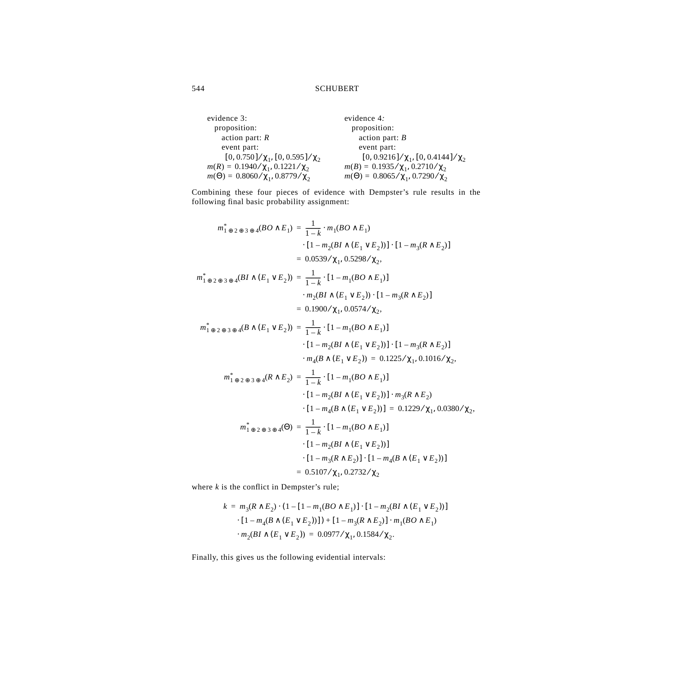| evidence 3:                                    | evidence 4:                                    |
|------------------------------------------------|------------------------------------------------|
| proposition:                                   | proposition:                                   |
| action part: $R$                               | action part: $B$                               |
| event part:                                    | event part:                                    |
| [0, 0.750]/ $\chi_1$ , [0, 0.595]/ $\chi_2$    | [0, 0.9216]/ $\chi_1$ , [0, 0.4144]/ $\chi_2$  |
| $m(R) = 0.1940/\chi_1, 0.1221/\chi_2$          | $m(B) = 0.1935/\chi_1, 0.2710/\chi_2$          |
| $m(\Theta) = 0.8060 / \chi_1, 0.8779 / \chi_2$ | $m(\Theta) = 0.8065 / \chi_1, 0.7290 / \chi_2$ |

Combining these four pieces of evidence with Dempster's rule results in the following final basic probability assignment:

$$
m_{1 \oplus 2 \oplus 3 \oplus 4}(BO \wedge E_{1}) = \frac{1}{1-k} \cdot m_{1}(BO \wedge E_{1})
$$
  
\n
$$
\cdot [1 - m_{2}(BI \wedge (E_{1} \vee E_{2}))] \cdot [1 - m_{3}(R \wedge E_{2})]
$$
  
\n
$$
= 0.0539/\chi_{1}, 0.5298/\chi_{2},
$$
  
\n
$$
m_{1 \oplus 2 \oplus 3 \oplus 4}(BI \wedge (E_{1} \vee E_{2})) = \frac{1}{1-k} \cdot [1 - m_{1}(BO \wedge E_{1})]
$$
  
\n
$$
\cdot m_{2}(BI \wedge (E_{1} \vee E_{2})) \cdot [1 - m_{3}(R \wedge E_{2})]
$$
  
\n
$$
= 0.1900/\chi_{1}, 0.0574/\chi_{2},
$$
  
\n
$$
m_{1 \oplus 2 \oplus 3 \oplus 4}(B \wedge (E_{1} \vee E_{2})) = \frac{1}{1-k} \cdot [1 - m_{1}(BO \wedge E_{1})]
$$
  
\n
$$
\cdot [1 - m_{2}(BI \wedge (E_{1} \vee E_{2}))] \cdot [1 - m_{3}(R \wedge E_{2})]
$$
  
\n
$$
\cdot m_{4}(B \wedge (E_{1} \vee E_{2})) = 0.1225/\chi_{1}, 0.1016/\chi_{2},
$$
  
\n
$$
m_{1 \oplus 2 \oplus 3 \oplus 4}(R \wedge E_{2}) = \frac{1}{1-k} \cdot [1 - m_{1}(BO \wedge E_{1})]
$$
  
\n
$$
\cdot [1 - m_{2}(BI \wedge (E_{1} \vee E_{2}))] \cdot m_{3}(R \wedge E_{2})
$$
  
\n
$$
\cdot [1 - m_{4}(B \wedge (E_{1} \vee E_{2}))] = 0.1229/\chi_{1}, 0.0380/\chi_{2},
$$
  
\n
$$
m_{1 \oplus 2 \oplus 3 \oplus 4}( \Theta) = \frac{1}{1-k} \cdot [1 - m_{1}(BO \wedge E_{1})]
$$
  
\n
$$
\cdot [1 - m_{2}(BI \wedge (E_{1} \vee E_{2
$$

where  $k$  is the conflict in Dempster's rule;

$$
k = m_3(R \wedge E_2) \cdot (1 - [1 - m_1(BO \wedge E_1)] \cdot [1 - m_2(BI \wedge (E_1 \vee E_2))]
$$
  
 
$$
\cdot [1 - m_4(B \wedge (E_1 \vee E_2))]) + [1 - m_3(R \wedge E_2)] \cdot m_1(BO \wedge E_1)
$$
  
 
$$
\cdot m_2(BI \wedge (E_1 \vee E_2)) = 0.0977/\chi_1, 0.1584/\chi_2.
$$

Finally, this gives us the following evidential intervals: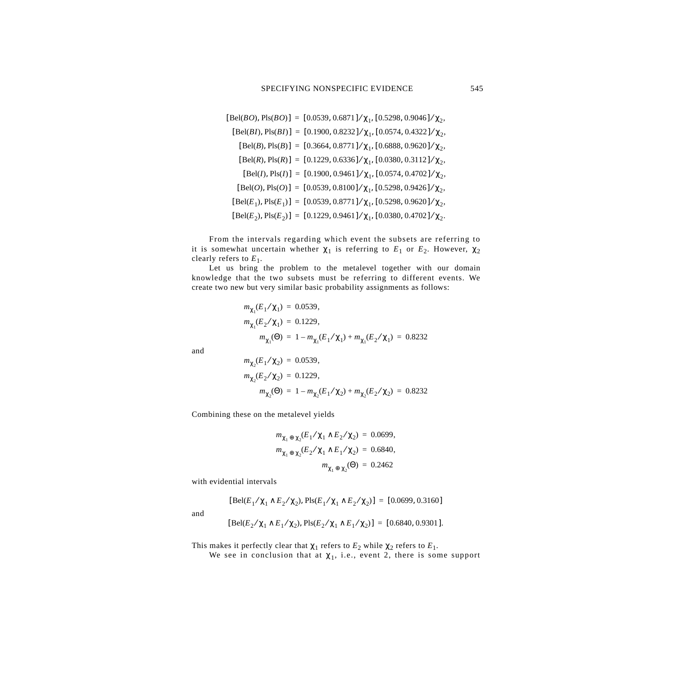$$
[Bel(BO), Pls(BO)] = [0.0539, 0.6871]/\chi_1, [0.5298, 0.9046]/\chi_2,
$$
  
\n
$$
[Bel(BI), Pls(BI)] = [0.1900, 0.8232]/\chi_1, [0.0574, 0.4322]/\chi_2,
$$
  
\n
$$
[Bel(B), Pls(B)] = [0.3664, 0.8771]/\chi_1, [0.6888, 0.9620]/\chi_2,
$$
  
\n
$$
[Bel(R), Pls(R)] = [0.1229, 0.6336]/\chi_1, [0.0380, 0.3112]/\chi_2,
$$
  
\n
$$
[Bel(I), Pls(I)] = [0.1900, 0.9461]/\chi_1, [0.0574, 0.4702]/\chi_2,
$$
  
\n
$$
[Bel(C), Pls(O)] = [0.0539, 0.8100]/\chi_1, [0.5298, 0.9426]/\chi_2,
$$
  
\n
$$
[Bel(E_1), Pls(E_1)] = [0.0539, 0.8771]/\chi_1, [0.5298, 0.9620]/\chi_2,
$$
  
\n
$$
[Bel(E_2), Pls(E_2)] = [0.1229, 0.9461]/\chi_1, [0.0380, 0.4702]/\chi_2.
$$

From the intervals regarding which event the subsets are referring to it is somewhat uncertain whether  $\chi_1$  is referring to  $E_1$  or  $E_2$ . However,  $\chi_2$ clearly refers to *E*1.

Let us bring the problem to the metalevel together with our domain knowledge that the two subsets must be referring to different events. We create two new but very similar basic probability assignments as follows:

$$
m_{\chi_1}(E_1/\chi_1) = 0.0539,
$$
  
\n
$$
m_{\chi_1}(E_2/\chi_1) = 0.1229,
$$
  
\n
$$
m_{\chi_1}(\Theta) = 1 - m_{\chi_1}(E_1/\chi_1) + m_{\chi_1}(E_2/\chi_1) = 0.8232
$$

and

$$
m_{\chi_2}(E_1/\chi_2) = 0.0539,
$$
  
\n
$$
m_{\chi_2}(E_2/\chi_2) = 0.1229,
$$
  
\n
$$
m_{\chi_2}(\Theta) = 1 - m_{\chi_2}(E_1/\chi_2) + m_{\chi_2}(E_2/\chi_2) = 0.8232
$$

Combining these on the metalevel yields

$$
m_{\chi_1 \oplus \chi_2}(E_1/\chi_1 \wedge E_2/\chi_2) = 0.0699,
$$
  

$$
m_{\chi_1 \oplus \chi_2}(E_2/\chi_1 \wedge E_1/\chi_2) = 0.6840,
$$
  

$$
m_{\chi_1 \oplus \chi_2}(\Theta) = 0.2462
$$

with evidential intervals

[Bel(
$$
E_1/\chi_1 \wedge E_2/\chi_2
$$
), Pls( $E_1/\chi_1 \wedge E_2/\chi_2$ )] = [0.0699, 0.3160]

and

$$
[\text{Bel}(E_2/\chi_1 \wedge E_1/\chi_2), \text{Pls}(E_2/\chi_1 \wedge E_1/\chi_2)] = [0.6840, 0.9301].
$$

This makes it perfectly clear that  $\chi_1$  refers to  $E_2$  while  $\chi_2$  refers to  $E_1$ .

We see in conclusion that at  $\chi_1$ , i.e., event 2, there is some support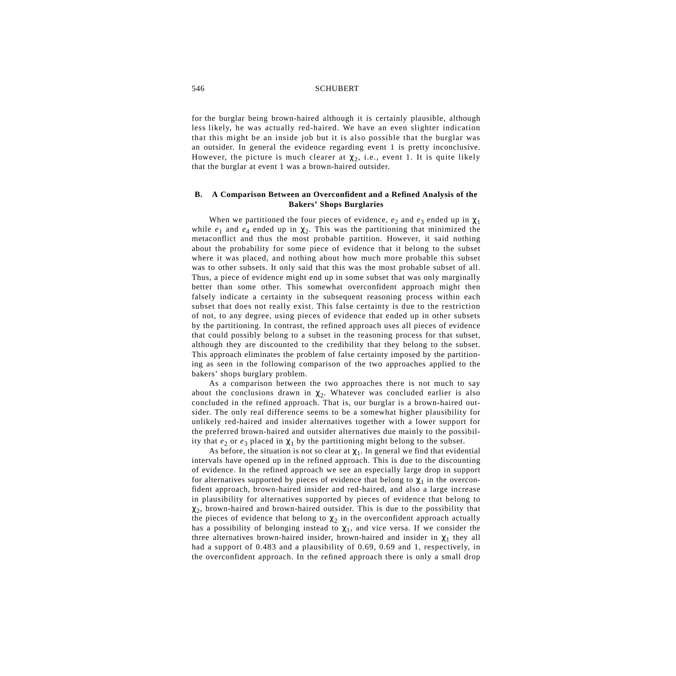for the burglar being brown-haired although it is certainly plausible, although less likely, he was actually red-haired. We have an even slighter indication that this might be an inside job but it is also possible that the burglar was an outsider. In general the evidence regarding event 1 is pretty inconclusive. However, the picture is much clearer at  $\chi_2$ , i.e., event 1. It is quite likely that the burglar at event 1 was a brown-haired outsider.

# **B. A Comparison Between an Overconfident and a Refined Analysis of the Bakers' Shops Burglaries**

When we partitioned the four pieces of evidence,  $e_2$  and  $e_3$  ended up in  $\chi_1$ while  $e_1$  and  $e_4$  ended up in  $\chi_2$ . This was the partitioning that minimized the metaconflict and thus the most probable partition. However, it said nothing about the probability for some piece of evidence that it belong to the subset where it was placed, and nothing about how much more probable this subset was to other subsets. It only said that this was the most probable subset of all. Thus, a piece of evidence might end up in some subset that was only marginally better than some other. This somewhat overconfident approach might then falsely indicate a certainty in the subsequent reasoning process within each subset that does not really exist. This false certainty is due to the restriction of not, to any degree, using pieces of evidence that ended up in other subsets by the partitioning. In contrast, the refined approach uses all pieces of evidence that could possibly belong to a subset in the reasoning process for that subset, although they are discounted to the credibility that they belong to the subset. This approach eliminates the problem of false certainty imposed by the partitioning as seen in the following comparison of the two approaches applied to the bakers' shops burglary problem.

As a comparison between the two approaches there is not much to say about the conclusions drawn in  $\chi_2$ . Whatever was concluded earlier is also concluded in the refined approach. That is, our burglar is a brown-haired outsider. The only real difference seems to be a somewhat higher plausibility for unlikely red-haired and insider alternatives together with a lower support for the preferred brown-haired and outsider alternatives due mainly to the possibility that  $e_2$  or  $e_3$  placed in  $\chi_1$  by the partitioning might belong to the subset.

As before, the situation is not so clear at  $\chi_1$ . In general we find that evidential intervals have opened up in the refined approach. This is due to the discounting of evidence. In the refined approach we see an especially large drop in support for alternatives supported by pieces of evidence that belong to  $\chi_1$  in the overconfident approach, brown-haired insider and red-haired, and also a large increase in plausibility for alternatives supported by pieces of evidence that belong to  $\chi_2$ , brown-haired and brown-haired outsider. This is due to the possibility that the pieces of evidence that belong to  $\chi_2$  in the overconfident approach actually has a possibility of belonging instead to  $\chi_1$ , and vice versa. If we consider the three alternatives brown-haired insider, brown-haired and insider in  $\chi_1$  they all had a support of 0.483 and a plausibility of 0.69, 0.69 and 1, respectively, in the overconfident approach. In the refined approach there is only a small drop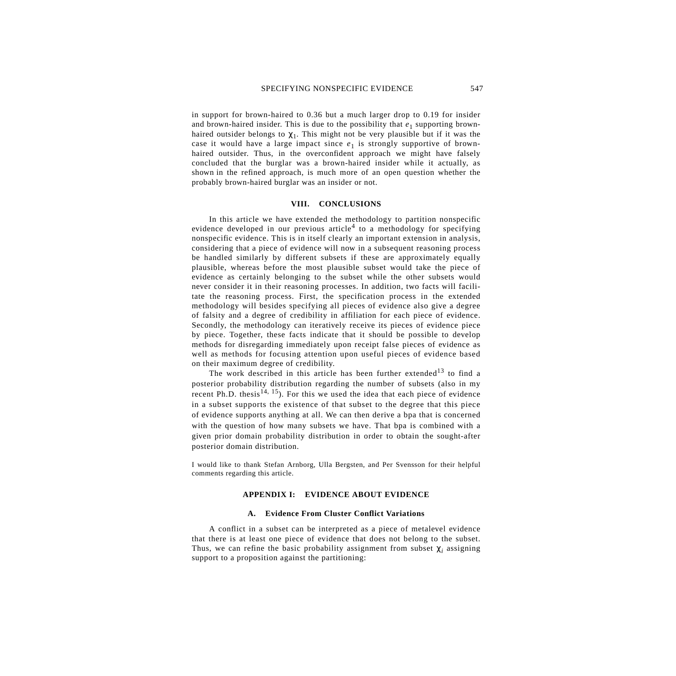in support for brown-haired to 0.36 but a much larger drop to 0.19 for insider and brown-haired insider. This is due to the possibility that  $e_1$  supporting brownhaired outsider belongs to  $\chi_1$ . This might not be very plausible but if it was the case it would have a large impact since  $e_1$  is strongly supportive of brownhaired outsider. Thus, in the overconfident approach we might have falsely concluded that the burglar was a brown-haired insider while it actually, as shown in the refined approach, is much more of an open question whether the probably brown-haired burglar was an insider or not.

# **VIII. CONCLUSIONS**

In this article we have extended the methodology to partition nonspecific evidence developed in our previous article<sup>4</sup> to a methodology for specifying nonspecific evidence. This is in itself clearly an important extension in analysis, considering that a piece of evidence will now in a subsequent reasoning process be handled similarly by different subsets if these are approximately equally plausible, whereas before the most plausible subset would take the piece of evidence as certainly belonging to the subset while the other subsets would never consider it in their reasoning processes. In addition, two facts will facilitate the reasoning process. First, the specification process in the extended methodology will besides specifying all pieces of evidence also give a degree of falsity and a degree of credibility in affiliation for each piece of evidence. Secondly, the methodology can iteratively receive its pieces of evidence piece by piece. Together, these facts indicate that it should be possible to develop methods for disregarding immediately upon receipt false pieces of evidence as well as methods for focusing attention upon useful pieces of evidence based on their maximum degree of credibility.

The work described in this article has been further extended<sup>13</sup> to find a posterior probability distribution regarding the number of subsets (also in my recent Ph.D. thesis<sup>14, 15</sup>). For this we used the idea that each piece of evidence in a subset supports the existence of that subset to the degree that this piece of evidence supports anything at all. We can then derive a bpa that is concerned with the question of how many subsets we have. That bpa is combined with a given prior domain probability distribution in order to obtain the sought-after posterior domain distribution.

I would like to thank Stefan Arnborg, Ulla Bergsten, and Per Svensson for their helpful comments regarding this article.

# **APPENDIX I: EVIDENCE ABOUT EVIDENCE**

## **A. Evidence From Cluster Conflict Variations**

A conflict in a subset can be interpreted as a piece of metalevel evidence that there is at least one piece of evidence that does not belong to the subset. Thus, we can refine the basic probability assignment from subset  $\chi_i$  assigning support to a proposition against the partitioning: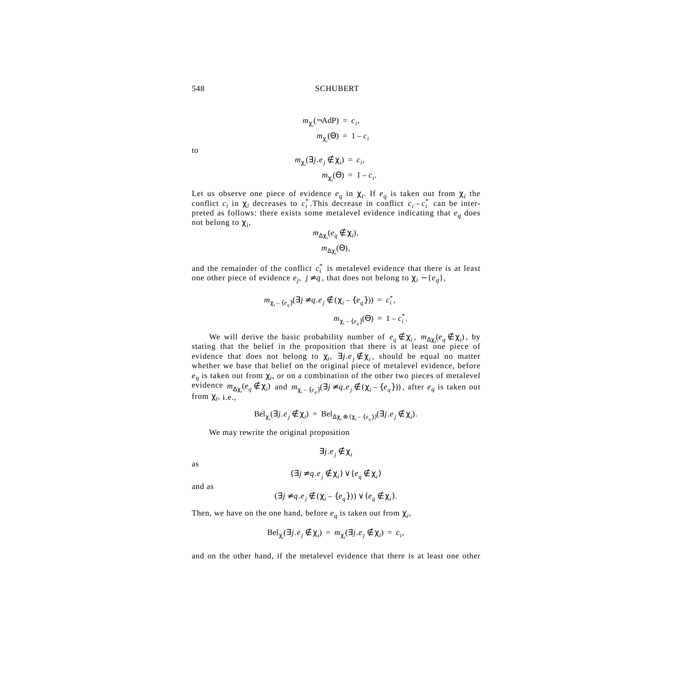$$
m_{\chi_i}(\neg \text{AdP}) = c_i,
$$
  
\n
$$
m_{\chi_i}(\Theta) = 1 - c_i
$$
  
\n
$$
m_{\chi_i}(\exists j.e_j \notin \chi_i) = c_i,
$$
  
\n
$$
m_{\chi_i}(\Theta) = 1 - c_i.
$$

to

Let us observe one piece of evidence  $e_q$  in  $\chi_i$ . If  $e_q$  is taken out from  $\chi_i$  the conflict  $c_i$  in  $\chi_i$  decreases to  $c_i^*$ . This decrease in conflict  $c_i - c_i^*$  can be interpreted as follows: there exists some metalevel evidence indicating that  $e_q$  does not belong to χ*i*,

$$
m_{\Delta \chi_i}(e_q \notin \chi_i),
$$
  

$$
m_{\Delta \chi_i}(\Theta),
$$

and the remainder of the conflict  $c_i^*$  is metalevel evidence that there is at least one other piece of evidence  $e_j$ ,  $j \neq q$ , that does not belong to  $\chi_i - \{e_q\}$ ,

$$
m_{\chi_i - \{e_q\}}(\exists j \neq q.e_j \notin (\chi_i - \{e_q\})) = c_i^*,
$$
  

$$
m_{\chi_i - \{e_q\}}(\Theta) = 1 - c_i^*.
$$

We will derive the basic probability number of  $e_q \notin \chi_i$ ,  $m_{\Delta \chi_i}(e_q \notin \chi_i)$ , by stating that the belief in the proposition that there is at least one piece of evidence that does not belong to  $\chi_i$ ,  $\exists j.e_j \notin \chi_i$ , should be equal no matter whether we base that belief on the original piece of metalevel evidence, before  $e_q$  is taken out from  $\chi_i$ , or on a combination of the other two pieces of metalevel evidence  $m_{\Delta \chi_i}(e_q \notin \chi_i)$  and  $m_{\chi_i - \{e_q\}}(\exists j \neq q.e_j \notin (\chi_i - \{e_q\}))$ , after  $e_q$  is taken out from  $\chi_i$ , i.e.,

$$
\mathrm{Bel}_{\chi_i}(\exists j.e_j \notin \chi_i) = \mathrm{Bel}_{\Delta\chi_i \oplus (\chi_i - \{e_q\})}(\exists j.e_j \notin \chi_i).
$$

We may rewrite the original proposition

$$
\exists j.e_j \notin \chi_i
$$

as

$$
(\exists j \neq q.e_j \notin \chi_i) \lor (e_q \notin \chi_i)
$$

and as

$$
(\exists j \neq q. e_j \notin (\chi_i - \{e_q\})) \vee (e_q \notin \chi_i).
$$

Then, we have on the one hand, before  $e_a$  is taken out from  $\chi_i$ ,

$$
\text{Bel}_{\chi_i}(\exists j.e_j \notin \chi_i) = m_{\chi_i}(\exists j.e_j \notin \chi_i) = c_i,
$$

and on the other hand, if the metalevel evidence that there is at least one other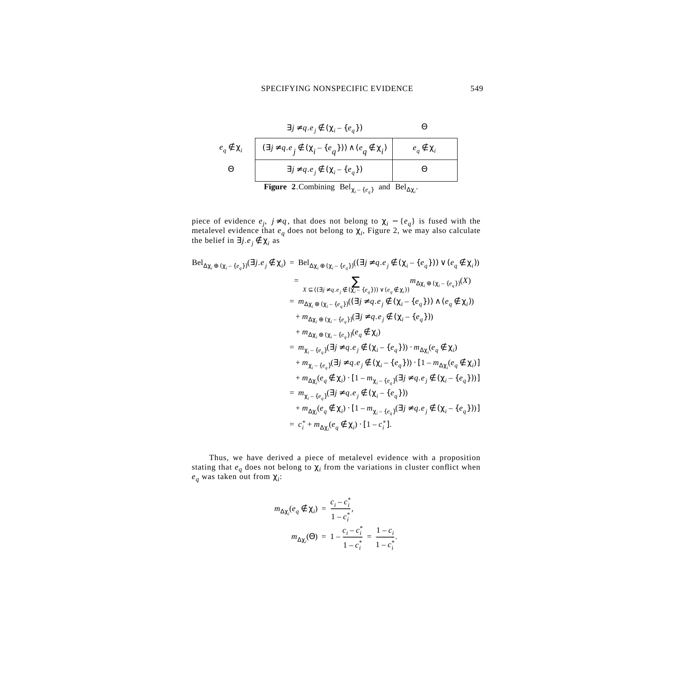$$
\exists j \neq q.e_j \notin (\chi_i - \{e_q\})
$$
\n
$$
e_q \notin \chi_i
$$
\n
$$
\overline{\left(\exists j \neq q.e_j \notin (\chi_i - \{e_q\}) \right) \land (e_q \notin \chi_i)} \quad e_q \notin \chi_i
$$
\n
$$
\overline{\exists j \neq q.e_j \notin (\chi_i - \{e_q\})}
$$
\n
$$
\overline{\text{Figure 2.Combining Bel}_{\chi_i - \{e_q\}}} \text{ and } \text{Bel}_{\Delta \chi_i}.
$$

piece of evidence  $e_j$ ,  $j \neq q$ , that does not belong to  $\chi_i - \{e_q\}$  is fused with the metalevel evidence that *eq* does not belong to χ*i*, Figure 2, we may also calculate the belief in  $\exists j.e_i \notin \chi_i$  as  $j \neq q$ ∃*j*.*e <sup>j</sup>* χ ∉ *<sup>i</sup>*

$$
Bel_{\Delta\chi_{i}\oplus(\chi_{i}-\{e_{q}\})}(\exists j.e_{j} \notin \chi_{i}) = Bel_{\Delta\chi_{i}\oplus(\chi_{i}-\{e_{q}\})}((\exists j \neq q.e_{j} \notin (\chi_{i}-\{e_{q}\})) \vee (e_{q} \notin \chi_{i}))
$$
\n
$$
= \sum_{X \subseteq ((\exists j \neq q.e_{j} \notin (\chi_{i}-\{e_{q}\})) \vee (e_{q} \notin \chi_{i}))} m_{\Delta\chi_{i}\oplus(\chi_{i}-\{e_{q}\})}(X)
$$
\n
$$
= m_{\Delta\chi_{i}\oplus(\chi_{i}-\{e_{q}\})}((\exists j \neq q.e_{j} \notin (\chi_{i}-\{e_{q}\})) \wedge (e_{q} \notin \chi_{i}))
$$
\n
$$
+ m_{\Delta\chi_{i}\oplus(\chi_{i}-\{e_{q}\})}(\exists j \neq q.e_{j} \notin (\chi_{i}-\{e_{q}\}))
$$
\n
$$
+ m_{\Delta\chi_{i}\oplus(\chi_{i}-\{e_{q}\})}(\{e_{q} \notin \chi_{i}\})
$$
\n
$$
= m_{\chi_{i}-\{e_{q}\}}(\exists j \neq q.e_{j} \notin (\chi_{i}-\{e_{q}\})) \cdot m_{\Delta\chi_{i}}(e_{q} \notin \chi_{i})
$$
\n
$$
+ m_{\chi_{i}-\{e_{q}\}}(\exists j \neq q.e_{j} \notin (\chi_{i}-\{e_{q}\})) \cdot [1-m_{\Delta\chi_{i}}(e_{q} \notin \chi_{i})]
$$
\n
$$
+ m_{\Delta\chi_{i}}(e_{q} \notin \chi_{i}) \cdot [1-m_{\chi_{i}-\{e_{q}\}}(\exists j \neq q.e_{j} \notin (\chi_{i}-\{e_{q}\}))]
$$
\n
$$
= m_{\chi_{i}-\{e_{q}\}}(\exists j \neq q.e_{j} \notin (\chi_{i}-\{e_{q}\}))
$$
\n
$$
+ m_{\Delta\chi_{i}}(e_{q} \notin \chi_{i}) \cdot [1-m_{\chi_{i}-\{e_{q}\}}(\exists j \neq q.e_{j} \notin (\chi_{i}-\{e_{q}\}))]
$$
\n
$$
= c_{i}^{*} + m_{\Delta\chi_{i}}(e_{q} \notin \chi_{
$$

Thus, we have derived a piece of metalevel evidence with a proposition stating that *eq* does not belong to χ*<sup>i</sup>* from the variations in cluster conflict when *eq* was taken out from χ*i*:

$$
m_{\Delta \chi_i}(e_q \notin \chi_i) = \frac{c_i - c_i^*}{1 - c_i^*},
$$
  

$$
m_{\Delta \chi_i}(\Theta) = 1 - \frac{c_i - c_i^*}{1 - c_i^*} = \frac{1 - c_i}{1 - c_i^*}.
$$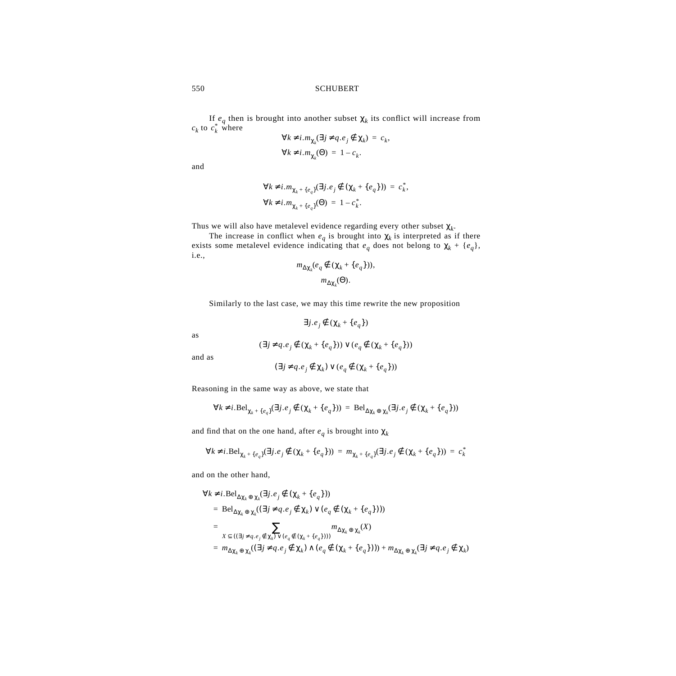If  $e_q$  then is brought into another subset  $\chi_k$  its conflict will increase from  $c_k$  to  $c_k^*$  where

$$
\forall k \neq i. m_{\chi_k}(\exists j \neq q. e_j \notin \chi_k) = c_k,
$$
  

$$
\forall k \neq i. m_{\chi_k}(\Theta) = 1 - c_k.
$$

and

$$
\begin{aligned} \forall k \neq i. & m_{\chi_k + \{e_q\}}(\exists j. e_j \notin (\chi_k + \{e_q\})) = c_k^*, \\ \forall k \neq i. & m_{\chi_k + \{e_q\}}(\Theta) = 1 - c_k^*. \end{aligned}
$$

Thus we will also have metalevel evidence regarding every other subset χ*k*.

The increase in conflict when  $e_q$  is brought into  $\chi_k$  is interpreted as if there exists some metalevel evidence indicating that  $e_q$  does not belong to  $\chi_k + \{e_q\}$ , i.e.,

$$
m_{\Delta \chi_k}(e_q \notin (\chi_k + \{e_q\})),
$$
  

$$
m_{\Delta \chi_k}(\Theta).
$$

Similarly to the last case, we may this time rewrite the new proposition

$$
\exists j.e_j \notin (\chi_k + \{e_q\})
$$

as

$$
(\exists j \neq q.e_j \notin (\chi_k + \{e_q\})) \vee (e_q \notin (\chi_k + \{e_q\}))
$$

and as

$$
(\exists j \neq q.e_j \notin \chi_k) \vee (e_q \notin (\chi_k + \{e_q\}))
$$

Reasoning in the same way as above, we state that

$$
\forall k\neq i.\mathtt{Bel}_{\chi_k + \{e_q\}}(\exists j.e_j\notin (\chi_k + \{e_q\}))\ =\ \mathtt{Bel}_{\Delta\chi_k\oplus \chi_k}(\exists j.e_j\notin (\chi_k + \{e_q\}))
$$

and find that on the one hand, after  $e_q$  is brought into  $\chi_k$ 

$$
\forall k \neq i. \text{Bel}_{\chi_k + \{e_q\}}(\exists j. e_j \notin (\chi_k + \{e_q\})) = m_{\chi_k + \{e_q\}}(\exists j. e_j \notin (\chi_k + \{e_q\})) = c_k^*
$$

and on the other hand,

$$
\forall k \neq i.\text{Bel}_{\Delta \chi_k \oplus \chi_k}(\exists j.e_j \notin (\chi_k + \{e_q\}))
$$
\n
$$
= \text{Bel}_{\Delta \chi_k \oplus \chi_k}((\exists j \neq q.e_j \notin \chi_k) \vee (e_q \notin (\chi_k + \{e_q\})))
$$
\n
$$
= \sum_{X \subseteq ((\exists j \neq q.e_j \notin \chi_k) \vee (e_q \notin (\chi_k + \{e_q\})))} m_{\Delta \chi_k \oplus \chi_k}(X)
$$
\n
$$
= m_{\Delta \chi_k \oplus \chi_k}((\exists j \neq q.e_j \notin \chi_k) \wedge (e_q \notin (\chi_k + \{e_q\}))) + m_{\Delta \chi_k \oplus \chi_k}(\exists j \neq q.e_j \notin \chi_k)
$$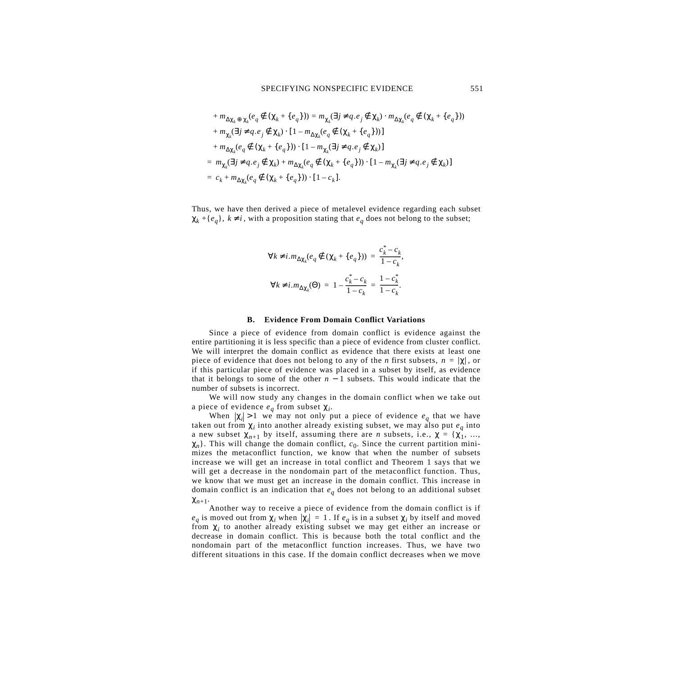$$
+ m_{\Delta \chi_k \oplus \chi_k} (e_q \notin (\chi_k + \{e_q\})) = m_{\chi_k} (\exists j \neq q.e_j \notin \chi_k) \cdot m_{\Delta \chi_k} (e_q \notin (\chi_k + \{e_q\}))
$$
  
\n
$$
+ m_{\chi_k} (\exists j \neq q.e_j \notin \chi_k) \cdot [1 - m_{\Delta \chi_k} (e_q \notin (\chi_k + \{e_q\}))]
$$
  
\n
$$
+ m_{\Delta \chi_k} (e_q \notin (\chi_k + \{e_q\})) \cdot [1 - m_{\chi_k} (\exists j \neq q.e_j \notin \chi_k)]
$$
  
\n
$$
= m_{\chi_k} (\exists j \neq q.e_j \notin \chi_k) + m_{\Delta \chi_k} (e_q \notin (\chi_k + \{e_q\})) \cdot [1 - m_{\chi_k} (\exists j \neq q.e_j \notin \chi_k)]
$$
  
\n
$$
= c_k + m_{\Delta \chi_k} (e_q \notin (\chi_k + \{e_q\})) \cdot [1 - c_k].
$$

Thus, we have then derived a piece of metalevel evidence regarding each subset  $\chi_k + \{e_q\}, k \neq i$ , with a proposition stating that  $e_q$  does not belong to the subset;

$$
\begin{aligned} \forall k \neq i . m_{\Delta \chi_k}(e_q \notin (\chi_k + \{e_q\})) &= \frac{c_k^* - c_k}{1 - c_k}, \\ \forall k \neq i . m_{\Delta \chi_k}(\Theta) &= 1 - \frac{c_k^* - c_k}{1 - c_k} = \frac{1 - c_k^*}{1 - c_k}. \end{aligned}
$$

# **B. Evidence From Domain Conflict Variations**

Since a piece of evidence from domain conflict is evidence against the entire partitioning it is less specific than a piece of evidence from cluster conflict. We will interpret the domain conflict as evidence that there exists at least one piece of evidence that does not belong to any of the *n* first subsets,  $n = |\chi|$ , or if this particular piece of evidence was placed in a subset by itself, as evidence that it belongs to some of the other  $n - 1$  subsets. This would indicate that the number of subsets is incorrect.

We will now study any changes in the domain conflict when we take out a piece of evidence *eq* from subset χ*i*.

When  $|\chi_i| > 1$  we may not only put a piece of evidence  $e_q$  that we have taken out from  $\chi_i$  into another already existing subset, we may also put  $e_q$  into a new subset  $\chi_{n+1}$  by itself, assuming there are *n* subsets, i.e.,  $\chi = {\chi_1^2, ..., \chi_n^2}$  $\chi_n$ . This will change the domain conflict,  $c_0$ . Since the current partition minimizes the metaconflict function, we know that when the number of subsets increase we will get an increase in total conflict and Theorem 1 says that we will get a decrease in the nondomain part of the metaconflict function. Thus, we know that we must get an increase in the domain conflict. This increase in domain conflict is an indication that  $e_q$  does not belong to an additional subset  $\chi_{n+1}$ .

Another way to receive a piece of evidence from the domain conflict is if *eq* is moved out from  $\chi_i$  when  $|\chi_i| = 1$ . If  $e_q$  is in a subset  $\chi_i$  by itself and moved from χ*<sup>i</sup>* to another already existing subset we may get either an increase or decrease in domain conflict. This is because both the total conflict and the nondomain part of the metaconflict function increases. Thus, we have two different situations in this case. If the domain conflict decreases when we move  $\chi_i$  = 1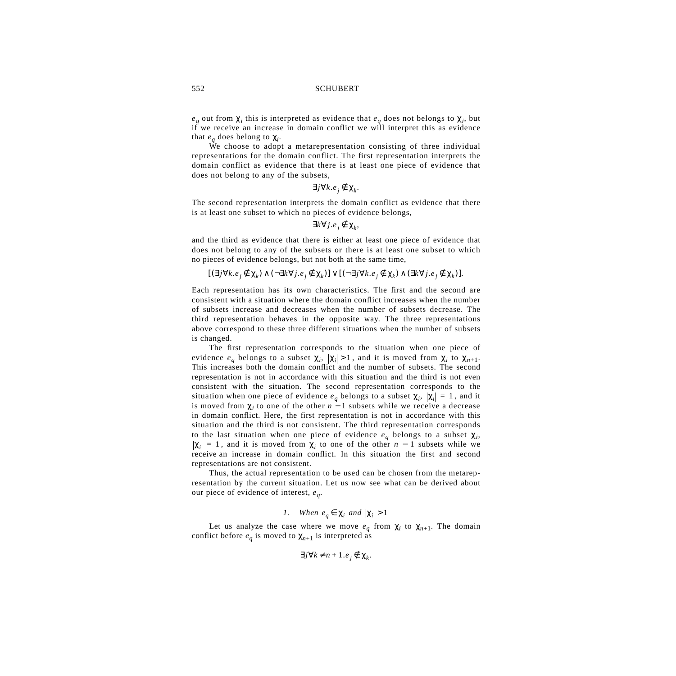$e_q$  out from  $\chi_i$  this is interpreted as evidence that  $e_q$  does not belongs to  $\chi_i$ , but if we receive an increase in domain conflict we will interpret this as evidence that  $e_a$  does belong to  $\chi_i$ .

We choose to adopt a metarepresentation consisting of three individual representations for the domain conflict. The first representation interprets the domain conflict as evidence that there is at least one piece of evidence that does not belong to any of the subsets,

$$
\exists j \forall k. e_j \notin \chi_k.
$$

The second representation interprets the domain conflict as evidence that there is at least one subset to which no pieces of evidence belongs,

$$
\exists k \forall j. e_j \notin \chi_k,
$$

and the third as evidence that there is either at least one piece of evidence that does not belong to any of the subsets or there is at least one subset to which no pieces of evidence belongs, but not both at the same time,

$$
[(\exists j \forall k. e_j \notin \chi_k) \land (\neg \exists k \forall j. e_j \notin \chi_k)] \lor [(\neg \exists j \forall k. e_j \notin \chi_k) \land (\exists k \forall j. e_j \notin \chi_k)].
$$

Each representation has its own characteristics. The first and the second are consistent with a situation where the domain conflict increases when the number of subsets increase and decreases when the number of subsets decrease. The third representation behaves in the opposite way. The three representations above correspond to these three different situations when the number of subsets is changed.

The first representation corresponds to the situation when one piece of evidence  $e_q$  belongs to a subset  $\chi_i$ ,  $|\chi_i| > 1$ , and it is moved from  $\chi_i$  to  $\chi_{n+1}$ . This increases both the domain conflict and the number of subsets. The second representation is not in accordance with this situation and the third is not even consistent with the situation. The second representation corresponds to the situation when one piece of evidence  $e_q$  belongs to a subset  $\chi_i$ ,  $|\chi_i| = 1$ , and it is moved from χ*<sup>i</sup>* to one of the other *n* − 1 subsets while we receive a decrease in domain conflict. Here, the first representation is not in accordance with this situation and the third is not consistent. The third representation corresponds to the last situation when one piece of evidence  $e_q$  belongs to a subset  $\chi_i$ ,  $\chi_i$  = 1, and it is moved from  $\chi_i$  to one of the other *n* − 1 subsets while we receive an increase in domain conflict. In this situation the first and second representations are not consistent.  $\chi_i$  = 1

Thus, the actual representation to be used can be chosen from the metarepresentation by the current situation. Let us now see what can be derived about our piece of evidence of interest, *eq*.

1. When 
$$
e_q \in \chi_i
$$
 and  $|\chi_i| > 1$ 

Let us analyze the case where we move  $e_q$  from  $\chi_i$  to  $\chi_{n+1}$ . The domain conflict before  $e_q$  is moved to  $\chi_{n+1}$  is interpreted as

$$
\exists j \forall k \neq n+1 \ldotp e_j \notin \chi_k.
$$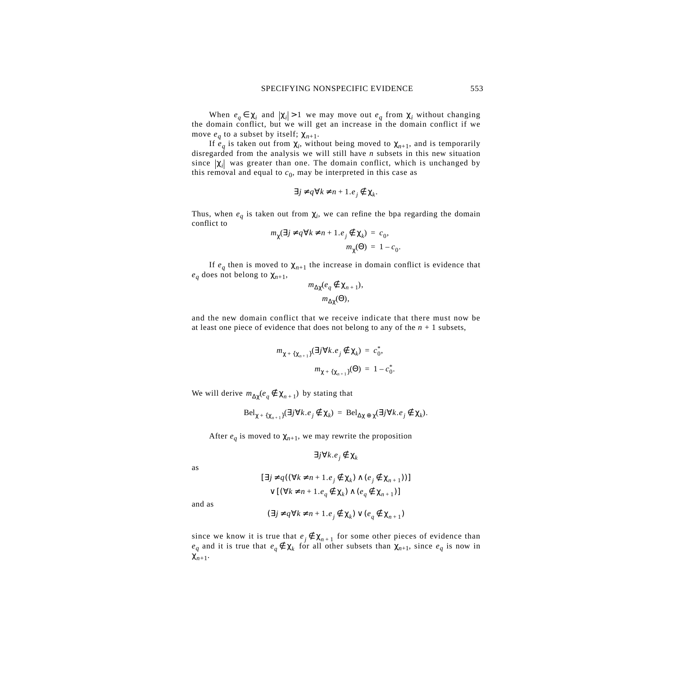When  $e_q \in \chi_i$  and  $|\chi_i| > 1$  we may move out  $e_q$  from  $\chi_i$  without changing the domain conflict, but we will get an increase in the domain conflict if we move  $e_a$  to a subset by itself;  $\chi_{n+1}$ .

If  $\hat{e}_q$  is taken out from  $\chi_i$ , without being moved to  $\chi_{n+1}$ , and is temporarily disregarded from the analysis we will still have *n* subsets in this new situation since  $|\chi_i|$  was greater than one. The domain conflict, which is unchanged by this removal and equal to  $c_0$ , may be interpreted in this case as

$$
\exists j \neq q \forall k \neq n+1 \ldotp e_j \notin \chi_k.
$$

Thus, when  $e_q$  is taken out from  $\chi_i$ , we can refine the bpa regarding the domain conflict to

$$
m_{\chi}(\exists j \neq q \forall k \neq n+1 \cdot e_j \notin \chi_k) = c_0,
$$
  

$$
m_{\chi}(\Theta) = 1 - c_0.
$$

If  $e_q$  then is moved to  $\chi_{n+1}$  the increase in domain conflict is evidence that  $e_q$  does not belong to  $\chi_{n+1}$ ,

$$
m_{\Delta\chi}(e_q \notin \chi_{n+1}),
$$
  

$$
m_{\Delta\chi}(\Theta),
$$

and the new domain conflict that we receive indicate that there must now be at least one piece of evidence that does not belong to any of the  $n + 1$  subsets,

$$
m_{\chi + {\{\chi_{n+1}\}}}(\exists j \forall k. e_j \notin \chi_k) = c_0^*,
$$
  

$$
m_{\chi + {\{\chi_{n+1}\}}}(\Theta) = 1 - c_0^*.
$$

We will derive  $m_{\Delta \chi} (e_q \notin \chi_{n+1})$  by stating that

$$
\mathrm{Bel}_{\chi + \{\chi_{n+1}\}}(\exists j \forall k. e_j \notin \chi_k) = \mathrm{Bel}_{\Delta \chi \oplus \chi}(\exists j \forall k. e_j \notin \chi_k).
$$

After  $e_q$  is moved to  $\chi_{n+1}$ , we may rewrite the proposition

$$
\exists j \forall k. e_j \notin \chi_k
$$

as

$$
[\exists j \neq q((\forall k \neq n+1.e_j \notin \chi_k) \land (e_j \notin \chi_{n+1}))]
$$
  
 
$$
\lor [(\forall k \neq n+1.e_q \notin \chi_k) \land (e_q \notin \chi_{n+1})]
$$

and as

$$
(\exists j \neq q \forall k \neq n+1 \ldotp e_j \notin \chi_k) \lor (e_q \notin \chi_{n+1})
$$

since we know it is true that  $e_j \notin \chi_{n+1}$  for some other pieces of evidence than *eq* and it is true that  $e_q \notin \chi_k$  for all other subsets than  $\chi_{n+1}$ , since  $e_q$  is now in χ*n*+1.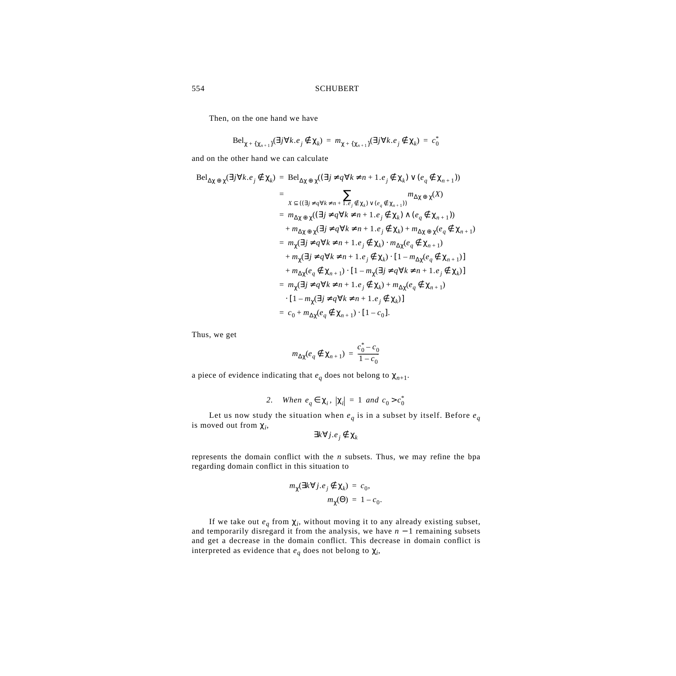Then, on the one hand we have

$$
\text{Bel}_{\chi + {\{\chi_{n+1}\}}}(\exists j \forall k.e_j \notin \chi_k) = m_{\chi + {\{\chi_{n+1}\}}}(\exists j \forall k.e_j \notin \chi_k) = c_0^*
$$

and on the other hand we can calculate

$$
Bel_{\Delta \chi \oplus \chi}(\exists j \forall k.e_j \notin \chi_k) = Bel_{\Delta \chi \oplus \chi}((\exists j \neq q \forall k \neq n+1.e_j \notin \chi_k) \vee (e_q \notin \chi_{n+1}))
$$
  
\n
$$
= \sum_{X \subseteq ((\exists j \neq q \forall k \neq n+1.e_j \notin \chi_k) \vee (e_q \notin \chi_{n+1}))} m_{\Delta \chi \oplus \chi}(X)
$$
  
\n
$$
= m_{\Delta \chi \oplus \chi}((\exists j \neq q \forall k \neq n+1.e_j \notin \chi_k) \wedge (e_q \notin \chi_{n+1}))
$$
  
\n
$$
+ m_{\Delta \chi \oplus \chi}(\exists j \neq q \forall k \neq n+1.e_j \notin \chi_k) + m_{\Delta \chi \oplus \chi}(e_q \notin \chi_{n+1})
$$
  
\n
$$
= m_{\chi}(\exists j \neq q \forall k \neq n+1.e_j \notin \chi_k) \cdot m_{\Delta \chi}(e_q \notin \chi_{n+1})
$$
  
\n
$$
+ m_{\chi}(\exists j \neq q \forall k \neq n+1.e_j \notin \chi_k) \cdot [1 - m_{\Delta \chi}(e_q \notin \chi_{n+1})]
$$
  
\n
$$
+ m_{\Delta \chi}(e_q \notin \chi_{n+1}) \cdot [1 - m_{\chi}(\exists j \neq q \forall k \neq n+1.e_j \notin \chi_k)]
$$
  
\n
$$
= m_{\chi}(\exists j \neq q \forall k \neq n+1.e_j \notin \chi_k) + m_{\Delta \chi}(e_q \notin \chi_{n+1})
$$
  
\n
$$
\cdot [1 - m_{\chi}(\exists j \neq q \forall k \neq n+1.e_j \notin \chi_k)]
$$
  
\n
$$
= c_0 + m_{\Delta \chi}(e_q \notin \chi_{n+1}) \cdot [1 - c_0].
$$

Thus, we get

$$
m_{\Delta\chi}(e_q\in\chi_{n+1})\,=\,\frac{c_0^*-c_0}{1-c_0}
$$

a piece of evidence indicating that  $e_q$  does not belong to  $\chi_{n+1}$ .

2. When 
$$
e_q \in \chi_i
$$
,  $|\chi_i| = 1$  and  $c_0 > c_0^*$ 

Let us now study the situation when  $e_q$  is in a subset by itself. Before  $e_q$ is moved out from χ*i*,

$$
\exists k \forall j. e_j \notin \chi_k
$$

represents the domain conflict with the *n* subsets. Thus, we may refine the bpa regarding domain conflict in this situation to

$$
m_{\chi}(\exists k \forall j.e_j \notin \chi_k) = c_0,
$$
  

$$
m_{\chi}(\Theta) = 1 - c_0.
$$

If we take out  $e_q$  from  $\chi_i$ , without moving it to any already existing subset, and temporarily disregard it from the analysis, we have *n* − 1 remaining subsets and get a decrease in the domain conflict. This decrease in domain conflict is interpreted as evidence that  $e_q$  does not belong to  $\chi_i$ ,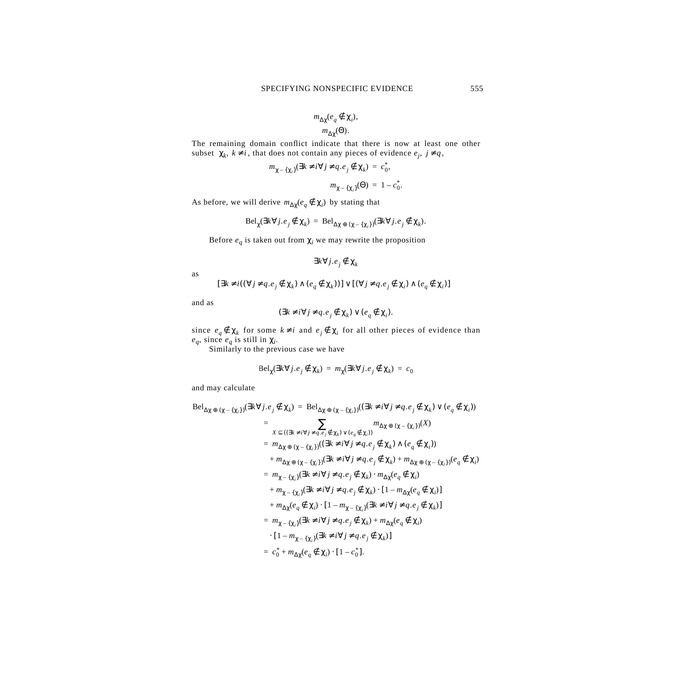$$
m_{\Delta \chi}(e_q \notin \chi_i),
$$
  

$$
m_{\Delta \chi}(\Theta).
$$

The remaining domain conflict indicate that there is now at least one other subset  $\chi_k$ ,  $k \neq i$ , that does not contain any pieces of evidence  $e_j$ ,  $j \neq q$ ,

$$
m_{\chi - {\{\chi_i\}}}(\exists k \neq i \forall j \neq q.e_j \notin \chi_k) = c_0^*,
$$
  

$$
m_{\chi - {\{\chi_i\}}}(\Theta) = 1 - c_0^*.
$$

As before, we will derive  $m_{\Delta \chi} (e_q \notin \chi_i)$  by stating that

$$
\text{Bel}_{\chi}(\exists k \forall j.e_j \notin \chi_k) = \text{Bel}_{\Delta \chi \oplus (\chi - \{\chi_i\})}(\exists k \forall j.e_j \notin \chi_k).
$$

Before  $e_q$  is taken out from  $\chi_i$  we may rewrite the proposition

$$
\exists k \forall j. e_j \notin \chi_k
$$

as

$$
[\exists k \neq i((\forall j \neq q.e_j \notin \chi_k) \land (e_q \notin \chi_k)) ] \lor [(\forall j \neq q.e_j \notin \chi_i) \land (e_q \notin \chi_i)]
$$

and as

$$
(\exists k \neq i \forall j \neq q. e_j \notin \chi_k) \vee (e_q \notin \chi_i).
$$

since  $e_{\alpha} \notin \chi_k$  for some  $k \neq i$  and  $e_j \notin \chi_k$  for all other pieces of evidence than *eq*, since *eq* is still in χ*i*.  $e_q \notin \chi_k$  for some  $k \neq i$  and  $e_j \notin \chi_i$ 

Similarly to the previous case we have

$$
\text{Bel}_{\chi}(\exists k \forall j. e_j \notin \chi_k) = m_{\chi}(\exists k \forall j. e_j \notin \chi_k) = c_0
$$

and may calculate

$$
Bel_{\Delta\chi \oplus (\chi - \{\chi_i\})}(\exists k \forall j.e_j \notin \chi_k) = Bel_{\Delta\chi \oplus (\chi - \{\chi_i\})}((\exists k \neq i \forall j \neq q.e_j \notin \chi_k) \vee (e_q \notin \chi_i))
$$
\n
$$
= \sum_{X \subseteq ((\exists k \neq i \forall j \neq q.e_j \notin \chi_k) \vee (e_q \notin \chi_i))} m_{\Delta\chi \oplus (\chi - \{\chi_i\})}(X)
$$
\n
$$
= m_{\Delta\chi \oplus (\chi - \{\chi_i\})}((\exists k \neq i \forall j \neq q.e_j \notin \chi_k) \wedge (e_q \notin \chi_i))
$$
\n
$$
+ m_{\Delta\chi \oplus (\chi - \{\chi_i\})}(\exists k \neq i \forall j \neq q.e_j \notin \chi_k) + m_{\Delta\chi \oplus (\chi - \{\chi_i\})} (e_q \notin \chi_i)
$$
\n
$$
= m_{\chi - \{\chi_i\}}(\exists k \neq i \forall j \neq q.e_j \notin \chi_k) \cdot m_{\Delta\chi} (e_q \notin \chi_i)
$$
\n
$$
+ m_{\chi - \{\chi_i\}}(\exists k \neq i \forall j \neq q.e_j \notin \chi_k) \cdot [1 - m_{\Delta\chi} (e_q \notin \chi_i)]
$$
\n
$$
+ m_{\Delta\chi} (e_q \notin \chi_i) \cdot [1 - m_{\chi - \{\chi_i\}}(\exists k \neq i \forall j \neq q.e_j \notin \chi_k)]
$$
\n
$$
= m_{\chi - \{\chi_i\}}(\exists k \neq i \forall j \neq q.e_j \notin \chi_k) + m_{\Delta\chi} (e_q \notin \chi_i)
$$
\n
$$
\cdot [1 - m_{\chi - \{\chi_i\}}(\exists k \neq i \forall j \neq q.e_j \notin \chi_k)]
$$
\n
$$
= c_0^* + m_{\Delta\chi} (e_q \notin \chi_i) \cdot [1 - c_0^*].
$$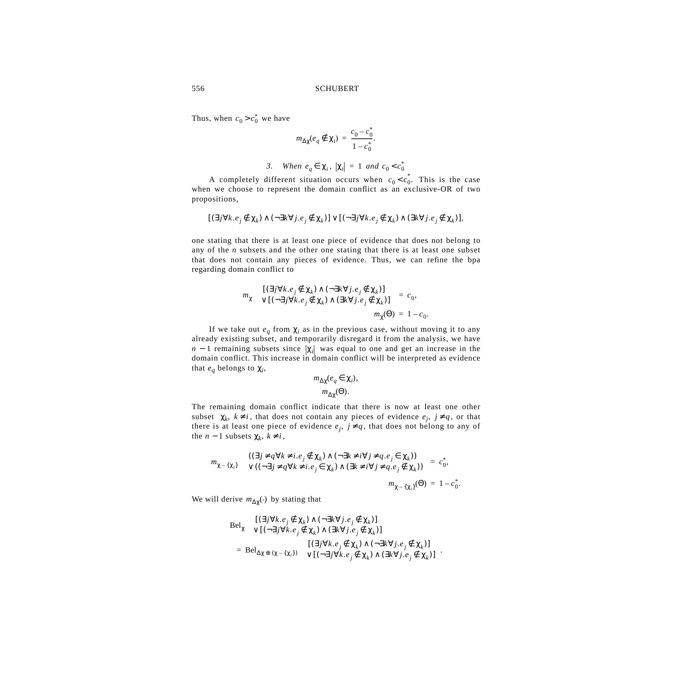Thus, when  $c_0 > c_0^*$  we have

$$
m_{\Delta \chi}(e_q \notin \chi_i) = \frac{c_0 - c_0^*}{1 - c_0^*}.
$$

3. When 
$$
e_q \in \chi_i
$$
,  $|\chi_i| = 1$  and  $c_0 < c_0^*$ 

A completely different situation occurs when  $c_0 < c_0^*$ . This is the case when we choose to represent the domain conflict as an exclusive-OR of two propositions,

$$
[(\exists j \forall k. e_j \notin \chi_k) \land (\neg \exists k \forall j. e_j \notin \chi_k)] \lor [(\neg \exists j \forall k. e_j \notin \chi_k) \land (\exists k \forall j. e_j \notin \chi_k)],
$$

one stating that there is at least one piece of evidence that does not belong to any of the *n* subsets and the other one stating that there is at least one subset that does not contain any pieces of evidence. Thus, we can refine the bpa regarding domain conflict to

$$
m_{\chi} \left( \begin{array}{c} \left[ (\exists j \forall k. e_j \notin \chi_k) \wedge (\neg \exists k \forall j. e_j \notin \chi_k) \right] \\ \vee \left[ (\neg \exists j \forall k. e_j \notin \chi_k) \wedge (\exists k \forall j. e_j \notin \chi_k) \right] \right) = c_0, \\ m_{\chi}(\Theta) = 1 - c_0. \end{array} \right)
$$

If we take out  $e_q$  from  $\chi_i$  as in the previous case, without moving it to any already existing subset, and temporarily disregard it from the analysis, we have *n* − 1 remaining subsets since  $|\chi_i|$  was equal to one and get an increase in the domain conflict. This increase in domain conflict will be interpreted as evidence that  $e_q$  belongs to  $\chi_i$ ,

$$
m_{\Delta \chi}(e_q \in \chi_i),
$$
  

$$
m_{\Delta \chi}( \Theta).
$$

The remaining domain conflict indicate that there is now at least one other subset  $\chi_k$ ,  $k \neq i$ , that does not contain any pieces of evidence  $e_j$ ,  $j \neq q$ , or that there is at least one piece of evidence  $e_j$ ,  $j \neq q$ , that does not belong to any of the  $n-1$  subsets  $\chi_k$ ,  $k \neq i$ ,

$$
m_{\chi-\{\chi_i\}}\left(\begin{array}{cc}((\exists j\neq q\forall k\neq i.e_j\in\chi_k)\wedge(\neg\exists k\neq i\forall j\neq q.e_j\in\chi_k))\\ \vee((\neg\exists j\neq q\forall k\neq i.e_j\in\chi_k)\wedge(\exists k\neq i\forall j\neq q.e_j\notin\chi_k))\end{array}\right)=c_0^*,
$$

$$
m_{\chi-\{\chi_i\}}(\Theta)=1-c_0^*.
$$

We will derive  $m_{\Delta\chi}(\cdot)$  by stating that

$$
\text{Bel}_{\chi} \left( \begin{array}{l} \left[ (\exists j \forall k. e_j \notin \chi_k \right) \land (\neg \exists k \forall j. e_j \notin \chi_k) \right] \\ \lor \left[ (\neg \exists j \forall k. e_j \notin \chi_k \right) \land (\exists k \forall j. e_j \notin \chi_k) \right] \end{array} \right)
$$
\n
$$
= \text{Bel}_{\Delta \chi} \oplus (\chi - \{\chi_i\}) \left( \begin{array}{l} \left[ (\exists j \forall k. e_j \notin \chi_k \right) \land (\neg \exists k \forall j. e_j \notin \chi_k) \right] \\ \lor \left[ (\neg \exists j \forall k. e_j \notin \chi_k \right) \land (\exists k \forall j. e_j \notin \chi_k) \right] \end{array} \right).
$$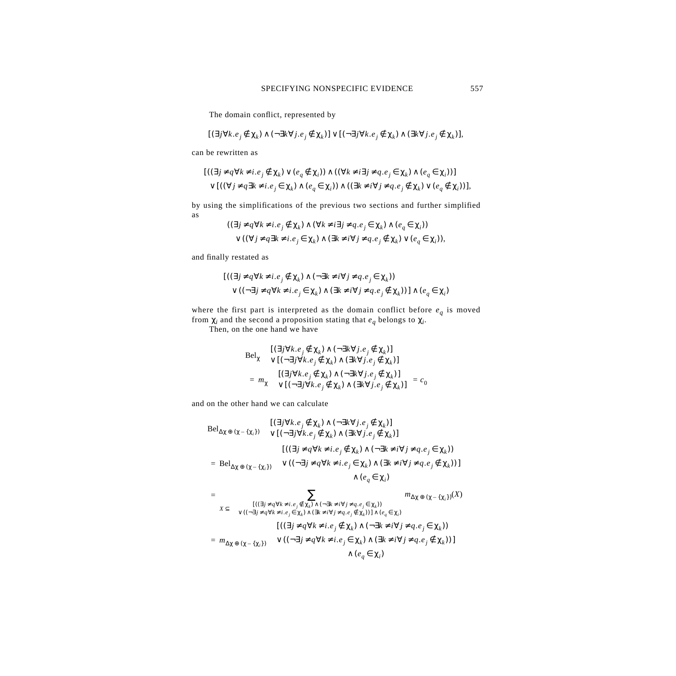The domain conflict, represented by

$$
[(\exists j \forall k. e_j \not\in \chi_k) \wedge (\neg \exists k \forall j. e_j \not\in \chi_k)] \vee [(\neg \exists j \forall k. e_j \not\in \chi_k) \wedge (\exists k \forall j. e_j \not\in \chi_k)],
$$

can be rewritten as

$$
[((\exists j \neq q \forall k \neq i.e_j \notin \chi_k) \lor (e_q \notin \chi_i)) \land ((\forall k \neq i \exists j \neq q.e_j \in \chi_k) \land (e_q \in \chi_i))]
$$
  
 
$$
\lor [((\forall j \neq q \exists k \neq i.e_j \in \chi_k) \land (e_q \in \chi_i)) \land ((\exists k \neq i \forall j \neq q.e_j \notin \chi_k) \lor (e_q \notin \chi_i))],
$$

by using the simplifications of the previous two sections and further simplified as ∃*j q* ≠ ∀*k i* ≠ .*e <sup>j</sup>* χ ∉ *<sup>k</sup>* ( ) ∀*k i* ≠ ∃*j q* ≠ .*e <sup>j</sup>* χ ∈ *<sup>k</sup>* ( ) *eq* χ ∈ *<sup>i</sup>* ( ) ∧ ∧ ( )

$$
((\exists j \neq q \forall k \neq i.e_j \notin \chi_k) \land (\forall k \neq i \exists j \neq q.e_j \in \chi_k) \land (e_q \in \chi_i))
$$
  
 
$$
\lor ((\forall j \neq q \exists k \neq i.e_j \in \chi_k) \land (\exists k \neq i \forall j \neq q.e_j \notin \chi_k) \lor (e_q \in \chi_i)),
$$

and finally restated as

$$
[(\exists j \neq q \forall k \neq i.e_j \notin \chi_k) \land (\neg \exists k \neq i \forall j \neq q.e_j \in \chi_k))
$$
  
 
$$
\lor ((\neg \exists j \neq q \forall k \neq i.e_j \in \chi_k) \land (\exists k \neq i \forall j \neq q.e_j \notin \chi_k)) \land (e_q \in \chi_i)
$$

where the first part is interpreted as the domain conflict before *eq* is moved from χ*i* and the second a proposition stating that *eq* belongs to χ*i*.

Then, on the one hand we have

$$
Bel_{\chi} \left( \begin{array}{c} \left[ (\exists j \forall k . e_j \notin \chi_k) \wedge (\neg \exists k \forall j . e_j \notin \chi_k) \right] \\ \vee \left[ (\neg \exists j \forall k . e_j \notin \chi_k) \wedge (\exists k \forall j . e_j \notin \chi_k) \right] \right) \\ = m_{\chi} \left( \begin{array}{c} \left[ (\exists j \forall k . e_j \notin \chi_k) \wedge (\neg \exists k \forall j . e_j \notin \chi_k) \right] \\ \vee \left[ (\neg \exists j \forall k . e_j \notin \chi_k) \wedge (\exists k \forall j . e_j \notin \chi_k) \right] \right) = c_0 \end{array} \right)
$$

and on the other hand we can calculate

Bel∆χ χ χ*<sup>i</sup>* <sup>⊕</sup> ( ) – { } ∃*j*∀*k*.*e <sup>j</sup>* χ ∉ *<sup>k</sup>* ( ) ∃*k*∀*j*.*e <sup>j</sup>* χ ¬ ∉ *<sup>k</sup>* [ ] ∧ ( ) <sup>∃</sup>*j*∀*k*.*<sup>e</sup> <sup>j</sup>* <sup>χ</sup> <sup>¬</sup> <sup>∉</sup> *<sup>k</sup>* ( ) <sup>∃</sup>*k*∀*j*.*<sup>e</sup> <sup>j</sup>* <sup>χ</sup> <sup>∉</sup> *<sup>k</sup>* <sup>∨</sup> [ ] <sup>∧</sup> ( ) Bel∆χ χ χ*<sup>i</sup>* <sup>⊕</sup> ( ) – { } ∃*j q* ≠ ∀*k i* ≠ .*e <sup>j</sup>* χ ∉ *<sup>k</sup>* ( ) ¬∃*k* ≠ *i*∀*j q* ≠ .*e <sup>j</sup>* χ ∈ *<sup>k</sup>* [( ) ∧ ( ) ¬∃*j* ≠ *q*∀*k i* ≠ .*e <sup>j</sup>* χ ∈ *<sup>k</sup>* ( ) ∃*k i* ≠ ∀*j q* ≠ .*e <sup>j</sup>* χ ∉ *<sup>k</sup>* ∨ ] ( ) ∧ ( ) *eq* <sup>χ</sup> <sup>∈</sup> *<sup>i</sup>* <sup>∧</sup> ( ) = *m*∆χ χ χ*<sup>i</sup>* <sup>⊕</sup> ( ) – { } ( ) *X X* ∃*j q* ≠ ∀*k i* ≠ .*e <sup>j</sup>* χ ∉ *<sup>k</sup>* ( ) ¬∃*k* ≠ *i*∀*j q* ≠ .*e <sup>j</sup>* χ ∈ *<sup>k</sup>* [( ) ∧ ( ) ¬∃*<sup>j</sup>* <sup>≠</sup> *<sup>q</sup>*∀*k i* <sup>≠</sup> .*<sup>e</sup> <sup>j</sup>* <sup>χ</sup> <sup>∈</sup> *<sup>k</sup>* ( ) <sup>∃</sup>*k i* <sup>≠</sup> <sup>∀</sup>*j q* <sup>≠</sup> .*<sup>e</sup> <sup>j</sup>* <sup>χ</sup> <sup>∉</sup> *<sup>k</sup>* ∨ ] ( ) <sup>∧</sup> ( ) *eq* <sup>χ</sup> <sup>∈</sup> *<sup>i</sup>* <sup>∧</sup> ( ) <sup>⊆</sup> <sup>=</sup> ∑ *m*∆χ χ χ*<sup>i</sup>* <sup>⊕</sup> ( ) – { } ∃*j q* ≠ ∀*k i* ≠ .*e <sup>j</sup>* χ ∉ *<sup>k</sup>* ( ) ¬∃*k* ≠ *i*∀*j q* ≠ .*e <sup>j</sup>* χ ∈ *<sup>k</sup>* [( ) ∧ ( ) ¬∃*j* ≠ *q*∀*k i* ≠ .*e <sup>j</sup>* χ ∈ *<sup>k</sup>* ( ) ∃*k i* ≠ ∀*j q* ≠ .*e <sup>j</sup>* χ ∉ *<sup>k</sup>* ∨ ] ( ) ∧ ( ) *eq* <sup>χ</sup> <sup>∈</sup> *<sup>i</sup>* <sup>∧</sup> ( ) =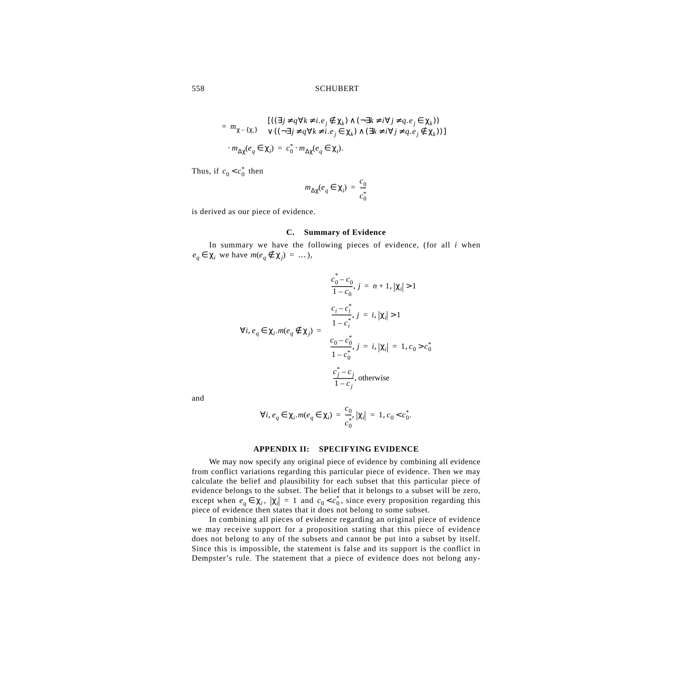$$
= m_{\chi - \{\chi_i\}} \left( \begin{array}{c} \left[ ((\exists j \neq q \forall k \neq i.e_j \notin \chi_k) \land (\neg \exists k \neq i \forall j \neq q.e_j \in \chi_k) \right) \\ \lor ((\neg \exists j \neq q \forall k \neq i.e_j \in \chi_k) \land (\exists k \neq i \forall j \neq q.e_j \notin \chi_k) \right) \end{array} \right)
$$
  

$$
\cdot m_{\Delta \chi} (e_q \in \chi_i) = c_0^* \cdot m_{\Delta \chi} (e_q \in \chi_i).
$$

Thus, if  $c_0 < c_0^*$  then

$$
m_{\Delta\chi}(e_q \in \chi_i) = \frac{c_0}{c_0^*}
$$

is derived as our piece of evidence.

# **C. Summary of Evidence**

In summary we have the following pieces of evidence, (for all *i* when  $e_q \in \chi_i$  we have  $m(e_q \notin \chi_j) = ...$ ,

$$
\forall i, e_q \in \chi_i.m(e_q \notin \chi_j) = \begin{cases} \frac{c_0^* - c_0}{1 - c_0}, j = n + 1, |\chi_i| > 1 \\ \frac{c_i - c_i^*}{1 - c_i^*}, j = i, |\chi_i| > 1 \\ \frac{c_0 - c_0^*}{1 - c_0^*}, j = i, |\chi_i| = 1, c_0 > c_0^* \\ \frac{c_j^* - c_j}{1 - c_j}, \text{otherwise} \end{cases}
$$

and

$$
\forall i, e_q \in \chi_i.m(e_q \in \chi_i) = \frac{c_0}{c_0^*} |\chi_i| = 1, c_0 < c_0^*.
$$

## **APPENDIX II: SPECIFYING EVIDENCE**

We may now specify any original piece of evidence by combining all evidence from conflict variations regarding this particular piece of evidence. Then we may calculate the belief and plausibility for each subset that this particular piece of evidence belongs to the subset. The belief that it belongs to a subset will be zero, except when  $e_q \in \chi_i$ ,  $|\chi_i| = 1$  and  $c_0 < c_0^*$ , since every proposition regarding this piece of evidence then states that it does not belong to some subset.

In combining all pieces of evidence regarding an original piece of evidence we may receive support for a proposition stating that this piece of evidence does not belong to any of the subsets and cannot be put into a subset by itself. Since this is impossible, the statement is false and its support is the conflict in Dempster's rule. The statement that a piece of evidence does not belong any-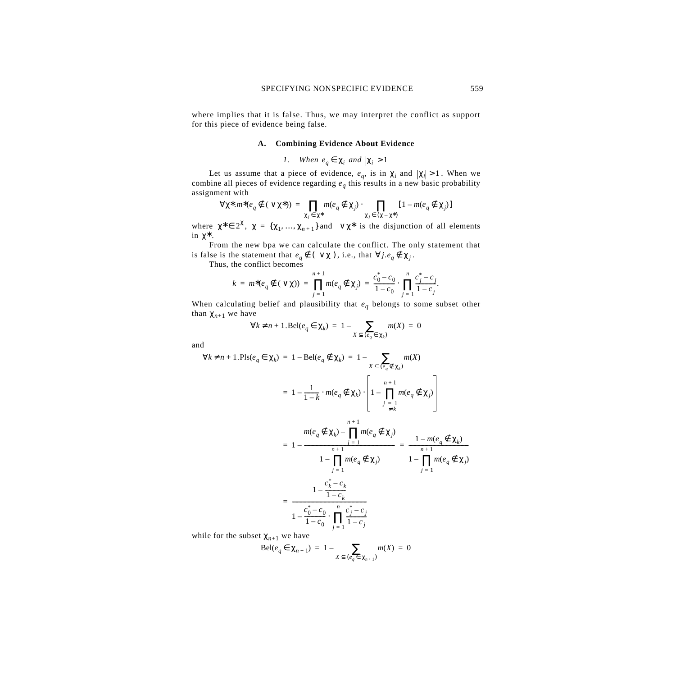where implies that it is false. Thus, we may interpret the conflict as support for this piece of evidence being false.

# **A. Combining Evidence About Evidence**

1. When 
$$
e_q \in \chi_i
$$
 and  $|\chi_i| > 1$ 

Let us assume that a piece of evidence,  $e_q$ , is in  $\chi_i$  and  $|\chi_i| > 1$ . When we combine all pieces of evidence regarding *eq* this results in a new basic probability assignment with  $\chi_i$  > 1

$$
\forall \chi^*, m^*(e_q \notin (\vee \chi^*)) = \prod_{\chi_j \in \chi^*} m(e_q \notin \chi_j) \cdot \prod_{\chi_j \in (\chi - \chi^*)} [1 - m(e_q \notin \chi_j)]
$$

where  $\chi^* \in 2^{\lambda}$ ,  $\chi = {\chi_1, ..., \chi_{n+1}}$  and  $\vee \chi^*$  is the disjunction of all elements in  $\chi^*$ .  $\chi^* \in 2^{\chi}, \ \chi = {\chi_{1}, ..., \chi_{n+1}}$  and  $\vee \chi^*$ 

From the new bpa we can calculate the conflict. The only statement that is false is the statement that  $e_q \notin ( \vee \chi)$ , i.e., that  $\forall j.e_q \notin \chi_j$ .

Thus, the conflict becomes

$$
k = m^*(e_q \notin (\vee \chi)) = \prod_{j=1}^{n+1} m(e_q \notin \chi_j) = \frac{c_0^* - c_0}{1 - c_0} \cdot \prod_{j=1}^{n} \frac{c_j^* - c_j}{1 - c_j}.
$$

When calculating belief and plausibility that *eq* belongs to some subset other than  $\chi_{n+1}$  we have

$$
\forall k \neq n+1. \text{Bel}(e_q \in \chi_k) = 1 - \sum_{X \subseteq (e_q \in \chi_k)} m(X) = 0
$$

and

$$
\forall k \neq n+1. \text{PIs}(e_q \in \chi_k) = 1 - \text{Bel}(e_q \notin \chi_k) = 1 - \sum_{X \subseteq (e_q \notin \chi_k)} m(X)
$$
  
=  $1 - \frac{1}{1 - k} \cdot m(e_q \notin \chi_k) \cdot \left[ 1 - \prod_{\substack{j=1 \ j \neq k}}^{n+1} m(e_q \notin \chi_j) \right]$   
=  $1 - \frac{m(e_q \notin \chi_k) - \prod_{\substack{j=1 \ j \neq 1}}^{n+1} m(e_q \notin \chi_j)}{1 - \prod_{\substack{j=1 \ j \neq 1}}^{n+1} m(e_q \notin \chi_j)} = \frac{1 - m(e_q \notin \chi_k)}{1 - \prod_{\substack{j=1 \ j \neq 1}}^{n+1} m(e_q \notin \chi_j)}$   
= 
$$
\frac{1 - \frac{c_k^* - c_k}{1 - c_k}}{1 - \frac{c_0^* - c_0}{1 - c_0} \cdot \prod_{\substack{j=1 \ j \neq 1}}^{n} \frac{c_j^* - c_j}{1 - c_j}}
$$

while for the subset  $\chi_{n+1}$  we have

$$
Bel(e_q \in \chi_{n+1}) = 1 - \sum_{X \subseteq (e_q \in \chi_{n+1})} m(X) = 0
$$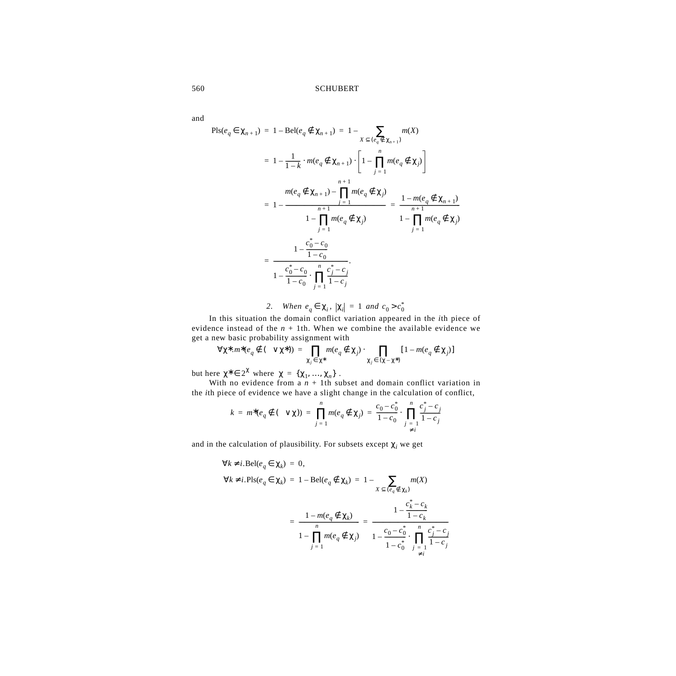and

$$
\begin{split} \text{PIs}(e_{q} \in \chi_{n+1}) &= 1 - \text{Bel}(e_{q} \notin \chi_{n+1}) = 1 - \sum_{X \subseteq (e_{q} \notin \chi_{n+1})} m(X) \\ &= 1 - \frac{1}{1 - k} \cdot m(e_{q} \notin \chi_{n+1}) \cdot \left[ 1 - \prod_{j=1}^{n} m(e_{q} \notin \chi_{j}) \right] \\ &= 1 - \frac{m(e_{q} \notin \chi_{n+1}) - \prod_{j=1}^{n+1} m(e_{q} \notin \chi_{j})}{1 - \prod_{j=1}^{n+1} m(e_{q} \notin \chi_{j})} = \frac{1 - m(e_{q} \notin \chi_{n+1})}{1 - \prod_{j=1}^{n+1} m(e_{q} \notin \chi_{j})} \\ &= \frac{1 - \frac{c_{0}^{*} - c_{0}}{1 - c_{0}}}{1 - \frac{c_{0}^{*} - c_{0}}{1 - c_{0}}}. \\ \end{split}
$$

2. When 
$$
e_q \in \chi_i
$$
,  $|\chi_i| = 1$  and  $c_0 > c_0^*$ 

In this situation the domain conflict variation appeared in the *i*th piece of evidence instead of the  $n + 1$ th. When we combine the available evidence we get a new basic probability assignment with

$$
\forall \chi^*, m^*(e_q \notin (\neg \vee \chi^*)) = \prod_{\chi_j \in \chi^*} m(e_q \notin \chi_j) \cdot \prod_{\chi_j \in (\chi - \chi^*)} [1 - m(e_q \notin \chi_j)]
$$

but here  $\chi^* \in 2^{\chi}$  where  $\chi = {\chi_1, ..., \chi_n}$ .  $\chi^* \in 2^{\chi}$  where  $\chi = {\chi_1, ..., \chi_n}$ 

With no evidence from a  $n + 1$ th subset and domain conflict variation in the *i*th piece of evidence we have a slight change in the calculation of conflict,

$$
k = m^{*}(e_{q} \notin (\vee \chi)) = \prod_{j=1}^{n} m(e_{q} \notin \chi_{j}) = \frac{c_{0} - c_{0}^{*}}{1 - c_{0}} \cdot \prod_{\substack{j=1 \\ \neq i}}^{n} \frac{c_{j}^{*} - c_{j}}{1 - c_{j}}
$$

and in the calculation of plausibility. For subsets except  $\chi_i$  we get

$$
\forall k \neq i. \text{Bel}(e_q \in \chi_k) = 0,
$$
  

$$
\forall k \neq i. \text{Pls}(e_q \in \chi_k) = 1 - \text{Bel}(e_q \notin \chi_k) = 1 - \sum_{X \subseteq (e_q \notin \chi_k)} m(X)
$$
  

$$
= \frac{1 - m(e_q \notin \chi_k)}{1 - \prod_{j=1}^n m(e_q \notin \chi_j)} = \frac{1 - \frac{c_k^* - c_k}{1 - c_k}}{1 - \frac{c_0 - c_0^*}{1 - c_0^*} \cdot \prod_{\substack{j=1 \ \neq i}}^n \frac{c_j^* - c_j}{1 - c_j}}
$$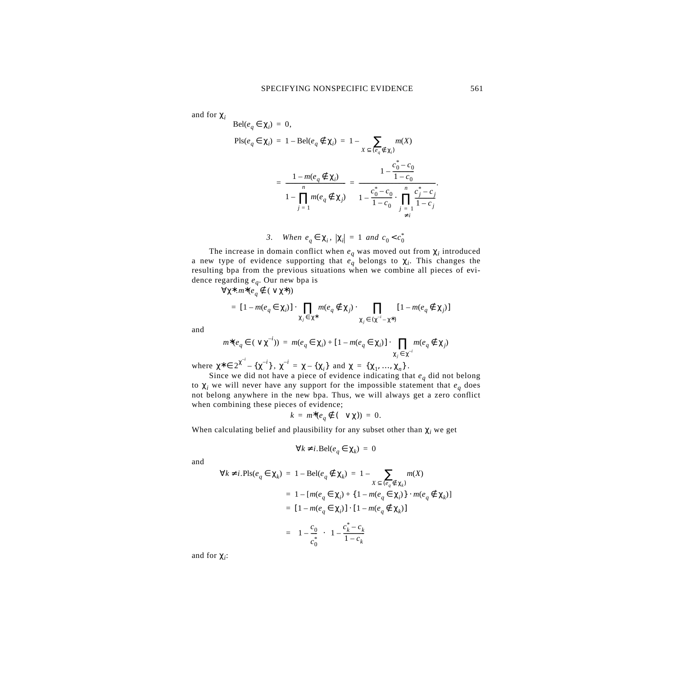and for 
$$
\chi_i
$$

$$
Bel(e_q \in \chi_i) = 0,
$$
  
\n
$$
Pls(e_q \in \chi_i) = 1 - Bel(e_q \notin \chi_i) = 1 - \sum_{X \subseteq (e_q \notin \chi_i)} m(X)
$$
  
\n
$$
= \frac{1 - m(e_q \notin \chi_i)}{1 - \prod_{j=1}^{n} m(e_q \notin \chi_j)} = \frac{1 - \frac{c_0^* - c_0}{1 - c_0}}{1 - \frac{c_0^* - c_0}{1 - c_0} \cdot \prod_{\substack{j=1 \ j \neq i}}^{n} \frac{c_j^* - c_j}{1 - c_j}}.
$$

3. When 
$$
e_q \in \chi_i
$$
,  $|\chi_i| = 1$  and  $c_0 < c_0^*$ 

The increase in domain conflict when  $e_q$  was moved out from  $\chi_i$  introduced a new type of evidence supporting that  $e_q$  belongs to  $\chi_i$ . This changes the resulting bpa from the previous situations when we combine all pieces of evidence regarding *eq*. Our new bpa is

$$
\forall \chi^*, m^*(e_q \notin (\vee \chi^*))
$$

$$
= [1 - m(e_q \in \chi_i)] \cdot \prod_{\chi_j \in \chi^*} m(e_q \notin \chi_j) \cdot \prod_{\chi_j \in (\chi^{-i} - \chi^*)} [1 - m(e_q \notin \chi_j)]
$$

and

$$
m^*(e_q \in (\vee \chi^{-i})) = m(e_q \in \chi_i) + [1 - m(e_q \in \chi_i)] \cdot \prod_{\chi_j \in \chi^{-i}} m(e_q \notin \chi_j)
$$

where  $\chi^* \in 2^{\chi} - {\chi^2 \choose 2}$ ,  $\chi^{-1} = \chi - {\chi_i}$  and  $\chi = {\chi_1, ..., \chi_n}$ .  $\chi^* \in 2^{\chi^{-i}} - {\chi^{-i}}$ ,  $\chi^{-i} = \chi - {\chi_{i}}$  and  $\chi = {\chi_{1}, ..., \chi_{n}}$ 

Since we did not have a piece of evidence indicating that *eq* did not belong to  $\chi_i$  we will never have any support for the impossible statement that  $e_q$  does not belong anywhere in the new bpa. Thus, we will always get a zero conflict when combining these pieces of evidence;

$$
k = m^*(e_q \notin (\neg \vee \chi)) = 0.
$$

When calculating belief and plausibility for any subset other than  $\chi_i$  we get

$$
\forall k \neq i. \text{Bel}(e_q \in \chi_k) = 0
$$

and

$$
\forall k \neq i. \text{PIs}(e_q \in \chi_k) = 1 - \text{Bel}(e_q \notin \chi_k) = 1 - \sum_{X \subseteq (e_q \notin \chi_k)} m(X)
$$
  
= 1 - [m(e\_q \in \chi\_i) + \{1 - m(e\_q \in \chi\_i)\} \cdot m(e\_q \notin \chi\_k)]  
= [1 - m(e\_q \in \chi\_i)] \cdot [1 - m(e\_q \notin \chi\_k)]  
= \left(1 - \frac{c\_0}{c\_0^\*}\right) \cdot \left(1 - \frac{c\_k^\* - c\_k}{1 - c\_k}\right)

and for χ*i*: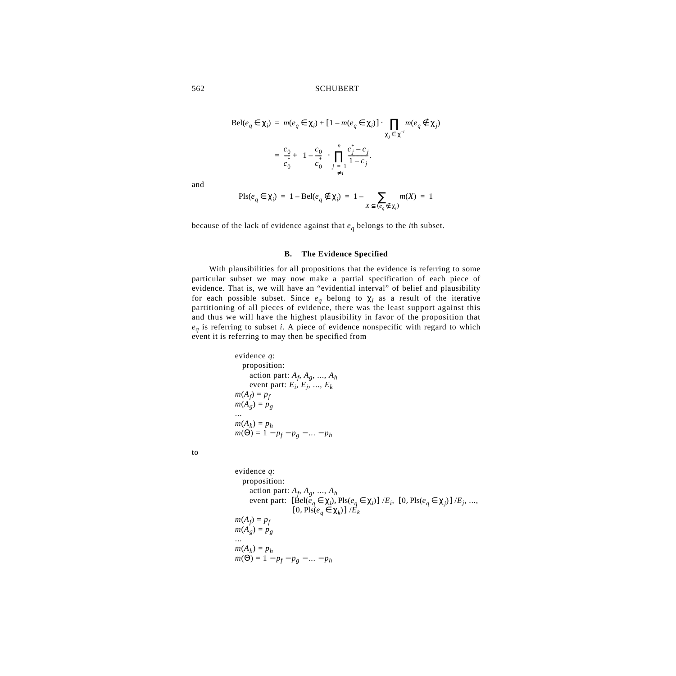$$
\text{Bel}(e_q \in \chi_i) = m(e_q \in \chi_i) + [1 - m(e_q \in \chi_i)] \cdot \prod_{\chi_j \in \chi^{-i}} m(e_q \notin \chi_j)
$$
\n
$$
= \frac{c_0}{\frac{c_0}{c_0}} + \left(1 - \frac{c_0}{c_0}\right) \cdot \prod_{\substack{j=1 \ j \neq i}}^{n} \frac{c_j^* - c_j}{1 - c_j}.
$$

and

$$
\operatorname{Pls}(e_q \in \chi_i) = 1 - \operatorname{Bel}(e_q \notin \chi_i) = 1 - \sum_{X \subseteq (e_q \notin \chi_i)} m(X) = 1
$$

because of the lack of evidence against that *eq* belongs to the *i*th subset.

# **B. The Evidence Specified**

With plausibilities for all propositions that the evidence is referring to some particular subset we may now make a partial specification of each piece of evidence. That is, we will have an "evidential interval" of belief and plausibility for each possible subset. Since  $e_q$  belong to  $\chi_i$  as a result of the iterative partitioning of all pieces of evidence, there was the least support against this and thus we will have the highest plausibility in favor of the proposition that  $e_q$  is referring to subset *i*. A piece of evidence nonspecific with regard to which event it is referring to may then be specified from

evidence *q*:  
\nproposition:  
\naction part: 
$$
A_f, A_g, ..., A_h
$$
  
\nevent part:  $E_i, E_j, ..., E_k$   
\n $m(A_f) = p_f$   
\n $m(A_g) = p_g$   
\n $\dots$   
\n $m(A_h) = p_h$   
\n $m(\Theta) = 1 - p_f - p_g - ... - p_h$ 

to

evidence *q*:  
\nproposition:  
\naction part: 
$$
A_f, A_g, ..., A_h
$$
  
\nevent part:  $[Bel(e_q \in \chi_i), Pls(e_q \in \chi_i)] / E_i, [0, Pls(e_q \in \chi_j)] / E_j, ...,$   
\n $[0, Pls(e_q \in \chi_k)] / E_k$   
\n $m(A_f) = p_f$   
\n $m(A_g) = p_g$   
\n $\dots$   
\n $m(A_h) = p_h$   
\n $m(\Theta) = 1 - p_f - p_g - ... - p_h$